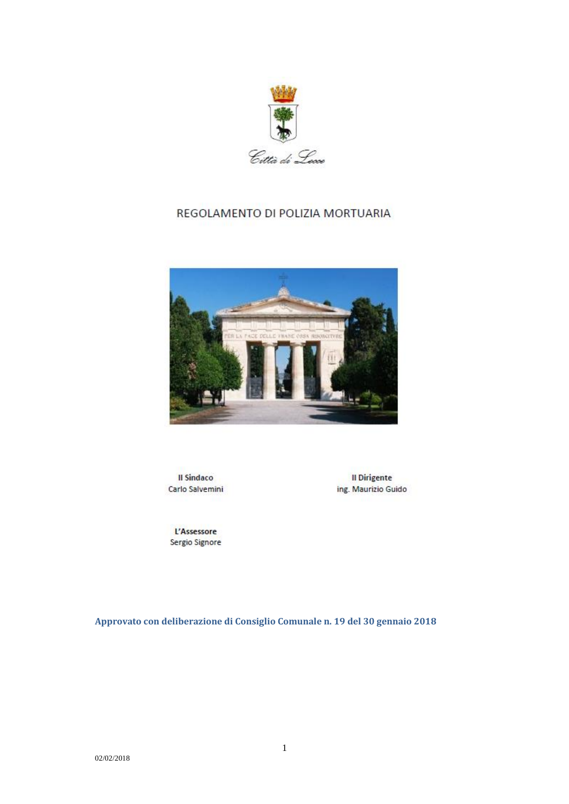

# REGOLAMENTO DI POLIZIA MORTUARIA



**Il Sindaco** Carlo Salvemini

Il Dirigente ing. Maurizio Guido

L'Assessore Sergio Signore

**Approvato con deliberazione di Consiglio Comunale n. 19 del 30 gennaio 2018**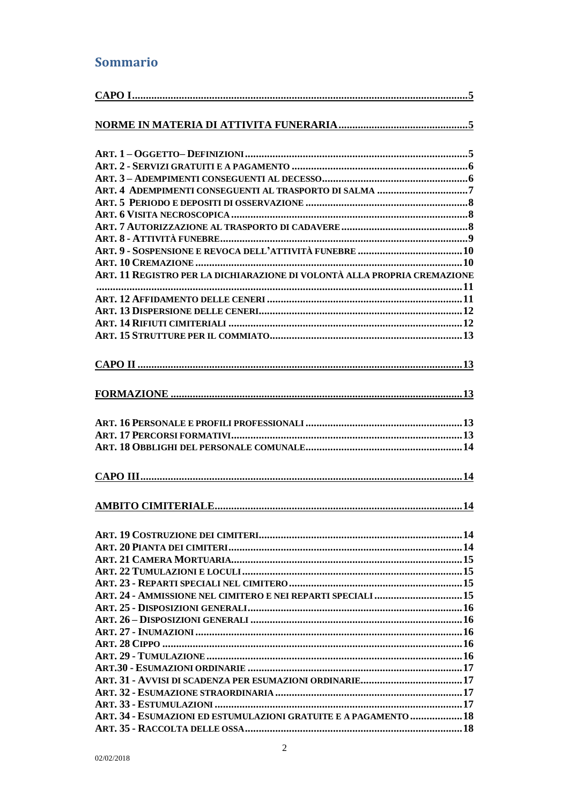# Sommario

| ART. 11 REGISTRO PER LA DICHIARAZIONE DI VOLONTÀ ALLA PROPRIA CREMAZIONE |  |
|--------------------------------------------------------------------------|--|
|                                                                          |  |
|                                                                          |  |
|                                                                          |  |
|                                                                          |  |
|                                                                          |  |
|                                                                          |  |
|                                                                          |  |
|                                                                          |  |
|                                                                          |  |
|                                                                          |  |
|                                                                          |  |
|                                                                          |  |
|                                                                          |  |
|                                                                          |  |
|                                                                          |  |
|                                                                          |  |
|                                                                          |  |
|                                                                          |  |
|                                                                          |  |
|                                                                          |  |
|                                                                          |  |
|                                                                          |  |
|                                                                          |  |
|                                                                          |  |
|                                                                          |  |
| ART. 24 - AMMISSIONE NEL CIMITERO E NEI REPARTI SPECIALI  15             |  |
|                                                                          |  |
|                                                                          |  |
|                                                                          |  |
|                                                                          |  |
|                                                                          |  |
|                                                                          |  |
|                                                                          |  |
|                                                                          |  |
|                                                                          |  |
| ART. 34 - ESUMAZIONI ED ESTUMULAZIONI GRATUITE E A PAGAMENTO  18         |  |
|                                                                          |  |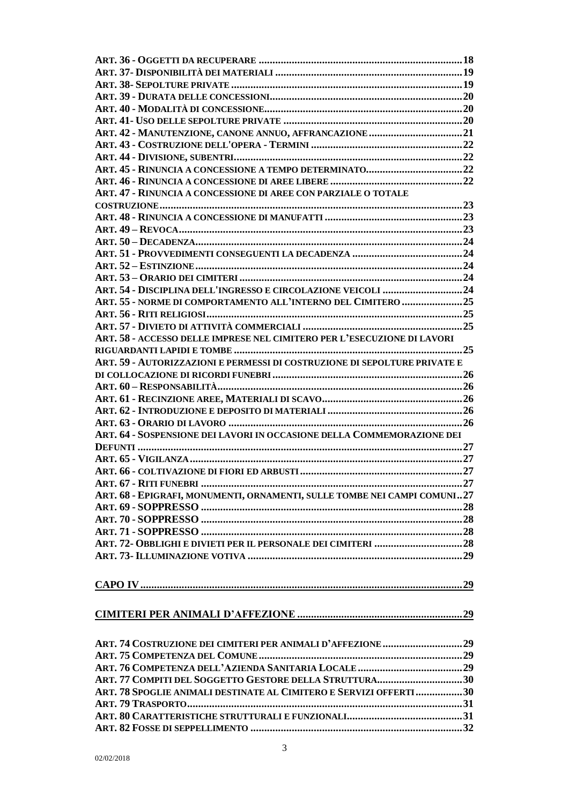| ART. 42 - MANUTENZIONE, CANONE ANNUO, AFFRANCAZIONE 21                    |  |
|---------------------------------------------------------------------------|--|
|                                                                           |  |
|                                                                           |  |
|                                                                           |  |
|                                                                           |  |
| ART. 47 - RINUNCIA A CONCESSIONE DI AREE CON PARZIALE O TOTALE            |  |
|                                                                           |  |
|                                                                           |  |
|                                                                           |  |
|                                                                           |  |
|                                                                           |  |
|                                                                           |  |
|                                                                           |  |
|                                                                           |  |
| ART. 55 - NORME DI COMPORTAMENTO ALL'INTERNO DEL CIMITERO 25              |  |
|                                                                           |  |
|                                                                           |  |
| ART. 58 - ACCESSO DELLE IMPRESE NEL CIMITERO PER L'ESECUZIONE DI LAVORI   |  |
|                                                                           |  |
| ART. 59 - AUTORIZZAZIONI E PERMESSI DI COSTRUZIONE DI SEPOLTURE PRIVATE E |  |
|                                                                           |  |
|                                                                           |  |
|                                                                           |  |
|                                                                           |  |
|                                                                           |  |
| ART. 64 - SOSPENSIONE DEI LAVORI IN OCCASIONE DELLA COMMEMORAZIONE DEI    |  |
|                                                                           |  |
|                                                                           |  |
|                                                                           |  |
|                                                                           |  |
|                                                                           |  |
|                                                                           |  |
| ART. 68 - EPIGRAFI, MONUMENTI, ORNAMENTI, SULLE TOMBE NEI CAMPI COMUNI27  |  |
|                                                                           |  |
|                                                                           |  |
| ART. 72- OBBLIGHI E DIVIETI PER IL PERSONALE DEI CIMITERI  28             |  |
|                                                                           |  |
|                                                                           |  |
|                                                                           |  |
|                                                                           |  |
|                                                                           |  |
|                                                                           |  |
|                                                                           |  |
|                                                                           |  |
|                                                                           |  |
|                                                                           |  |
|                                                                           |  |
| ART. 77 COMPITI DEL SOGGETTO GESTORE DELLA STRUTTURA30                    |  |
| ART. 78 SPOGLIE ANIMALI DESTINATE AL CIMITERO E SERVIZI OFFERTI 30        |  |
|                                                                           |  |
|                                                                           |  |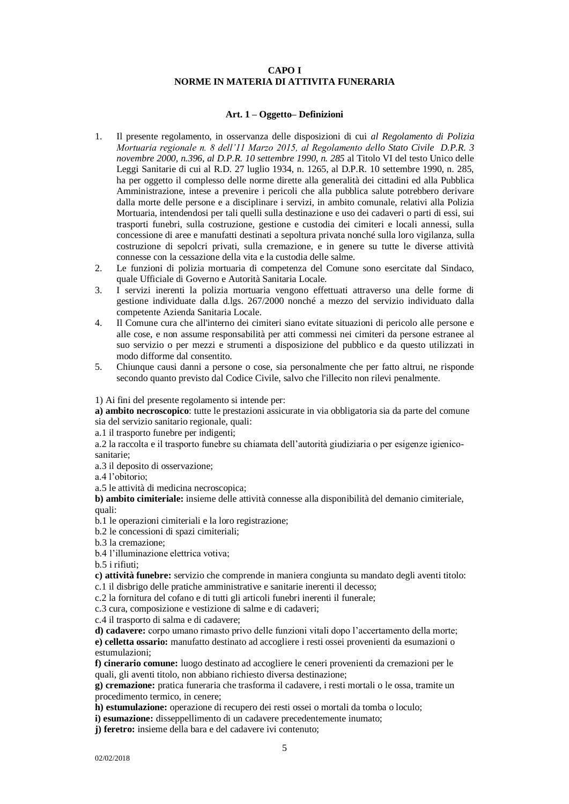# **CAPO I NORME IN MATERIA DI ATTIVITA FUNERARIA**

### **Art. 1 – Oggetto– Definizioni**

- <span id="page-4-2"></span><span id="page-4-1"></span><span id="page-4-0"></span>1. Il presente regolamento, in osservanza delle disposizioni di cui *al Regolamento di Polizia Mortuaria regionale n. 8 dell'11 Marzo 2015, al Regolamento dello Stato Civile D.P.R. 3 novembre 2000, n.396, al D.P.R. 10 settembre 1990, n. 285* al Titolo VI del testo Unico delle Leggi Sanitarie di cui al R.D. 27 luglio 1934, n. 1265, al D.P.R. 10 settembre 1990, n. 285, ha per oggetto il complesso delle norme dirette alla generalità dei cittadini ed alla Pubblica Amministrazione, intese a prevenire i pericoli che alla pubblica salute potrebbero derivare dalla morte delle persone e a disciplinare i servizi, in ambito comunale, relativi alla Polizia Mortuaria, intendendosi per tali quelli sulla destinazione e uso dei cadaveri o parti di essi, sui trasporti funebri, sulla costruzione, gestione e custodia dei cimiteri e locali annessi, sulla concessione di aree e manufatti destinati a sepoltura privata nonché sulla loro vigilanza, sulla costruzione di sepolcri privati, sulla cremazione, e in genere su tutte le diverse attività connesse con la cessazione della vita e la custodia delle salme.
- 2. Le funzioni di polizia mortuaria di competenza del Comune sono esercitate dal Sindaco, quale Ufficiale di Governo e Autorità Sanitaria Locale.
- 3. I servizi inerenti la polizia mortuaria vengono effettuati attraverso una delle forme di gestione individuate dalla d.lgs. 267/2000 nonché a mezzo del servizio individuato dalla competente Azienda Sanitaria Locale.
- 4. Il Comune cura che all'interno dei cimiteri siano evitate situazioni di pericolo alle persone e alle cose, e non assume responsabilità per atti commessi nei cimiteri da persone estranee al suo servizio o per mezzi e strumenti a disposizione del pubblico e da questo utilizzati in modo difforme dal consentito.
- 5. Chiunque causi danni a persone o cose, sia personalmente che per fatto altrui, ne risponde secondo quanto previsto dal Codice Civile, salvo che l'illecito non rilevi penalmente.

# 1) Ai fini del presente regolamento si intende per:

**a) ambito necroscopico**: tutte le prestazioni assicurate in via obbligatoria sia da parte del comune sia del servizio sanitario regionale, quali:

a.1 il trasporto funebre per indigenti;

a.2 la raccolta e il trasporto funebre su chiamata dell'autorità giudiziaria o per esigenze igienicosanitarie;

a.3 il deposito di osservazione;

a.4 l'obitorio;

a.5 le attività di medicina necroscopica;

**b) ambito cimiteriale:** insieme delle attività connesse alla disponibilità del demanio cimiteriale, quali:

b.1 le operazioni cimiteriali e la loro registrazione;

- b.2 le concessioni di spazi cimiteriali;
- b.3 la cremazione;

b.4 l'illuminazione elettrica votiva;

b.5 i rifiuti;

**c) attività funebre:** servizio che comprende in maniera congiunta su mandato degli aventi titolo: c.1 il disbrigo delle pratiche amministrative e sanitarie inerenti il decesso;

c.2 la fornitura del cofano e di tutti gli articoli funebri inerenti il funerale;

c.3 cura, composizione e vestizione di salme e di cadaveri;

c.4 il trasporto di salma e di cadavere;

**d) cadavere:** corpo umano rimasto privo delle funzioni vitali dopo l'accertamento della morte; **e) celletta ossario:** manufatto destinato ad accogliere i resti ossei provenienti da esumazioni o estumulazioni;

**f) cinerario comune:** luogo destinato ad accogliere le ceneri provenienti da cremazioni per le quali, gli aventi titolo, non abbiano richiesto diversa destinazione;

**g) cremazione:** pratica funeraria che trasforma il cadavere, i resti mortali o le ossa, tramite un procedimento termico, in cenere;

**h) estumulazione:** operazione di recupero dei resti ossei o mortali da tomba o loculo;

**i) esumazione:** disseppellimento di un cadavere precedentemente inumato;

**j) feretro:** insieme della bara e del cadavere ivi contenuto;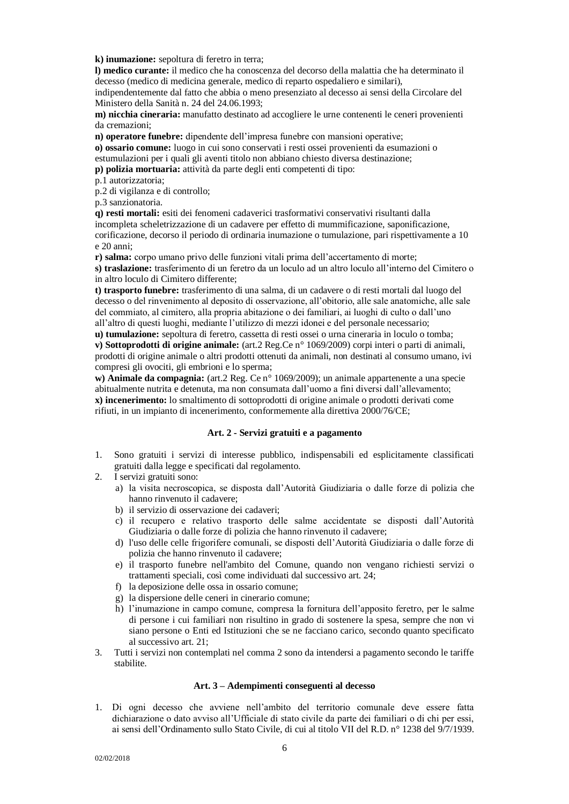**k) inumazione:** sepoltura di feretro in terra;

**l) medico curante:** il medico che ha conoscenza del decorso della malattia che ha determinato il decesso (medico di medicina generale, medico di reparto ospedaliero e similari),

indipendentemente dal fatto che abbia o meno presenziato al decesso ai sensi della Circolare del Ministero della Sanità n. 24 del 24.06.1993;

**m) nicchia cineraria:** manufatto destinato ad accogliere le urne contenenti le ceneri provenienti da cremazioni;

**n) operatore funebre:** dipendente dell'impresa funebre con mansioni operative;

**o) ossario comune:** luogo in cui sono conservati i resti ossei provenienti da esumazioni o estumulazioni per i quali gli aventi titolo non abbiano chiesto diversa destinazione;

**p) polizia mortuaria:** attività da parte degli enti competenti di tipo:

p.1 autorizzatoria;

p.2 di vigilanza e di controllo;

p.3 sanzionatoria.

**q) resti mortali:** esiti dei fenomeni cadaverici trasformativi conservativi risultanti dalla incompleta scheletrizzazione di un cadavere per effetto di mummificazione, saponificazione, corificazione, decorso il periodo di ordinaria inumazione o tumulazione, pari rispettivamente a 10 e 20 anni;

**r) salma:** corpo umano privo delle funzioni vitali prima dell'accertamento di morte; **s) traslazione:** trasferimento di un feretro da un loculo ad un altro loculo all'interno del Cimitero o in altro loculo di Cimitero differente;

**t) trasporto funebre:** trasferimento di una salma, di un cadavere o di resti mortali dal luogo del decesso o del rinvenimento al deposito di osservazione, all'obitorio, alle sale anatomiche, alle sale del commiato, al cimitero, alla propria abitazione o dei familiari, ai luoghi di culto o dall'uno all'altro di questi luoghi, mediante l'utilizzo di mezzi idonei e del personale necessario;

**u) tumulazione:** sepoltura di feretro, cassetta di resti ossei o urna cineraria in loculo o tomba; **v) Sottoprodotti di origine animale:** (art.2 Reg.Ce n° 1069/2009) corpi interi o parti di animali, prodotti di origine animale o altri prodotti ottenuti da animali, non destinati al consumo umano, ivi compresi gli ovociti, gli embrioni e lo sperma;

**w) Animale da compagnia:** (art.2 Reg. Ce n° 1069/2009); un animale appartenente a una specie abitualmente nutrita e detenuta, ma non consumata dall'uomo a fini diversi dall'allevamento; **x) incenerimento:** lo smaltimento di sottoprodotti di origine animale o prodotti derivati come rifiuti, in un impianto di incenerimento, conformemente alla direttiva 2000/76/CE;

# **Art. 2 - Servizi gratuiti e a pagamento**

- <span id="page-5-0"></span>1. Sono gratuiti i servizi di interesse pubblico, indispensabili ed esplicitamente classificati gratuiti dalla legge e specificati dal regolamento.
- 2. I servizi gratuiti sono:
	- a) la visita necroscopica, se disposta dall'Autorità Giudiziaria o dalle forze di polizia che hanno rinvenuto il cadavere;
	- b) il servizio di osservazione dei cadaveri;
	- c) il recupero e relativo trasporto delle salme accidentate se disposti dall'Autorità Giudiziaria o dalle forze di polizia che hanno rinvenuto il cadavere;
	- d) l'uso delle celle frigorifere comunali, se disposti dell'Autorità Giudiziaria o dalle forze di polizia che hanno rinvenuto il cadavere;
	- e) il trasporto funebre nell'ambito del Comune, quando non vengano richiesti servizi o trattamenti speciali, così come individuati dal successivo art. 24;
	- f) la deposizione delle ossa in ossario comune;
	- g) la dispersione delle ceneri in cinerario comune;
	- h) l'inumazione in campo comune, compresa la fornitura dell'apposito feretro, per le salme di persone i cui familiari non risultino in grado di sostenere la spesa, sempre che non vi siano persone o Enti ed Istituzioni che se ne facciano carico, secondo quanto specificato al successivo art. 21;
- 3. Tutti i servizi non contemplati nel comma 2 sono da intendersi a pagamento secondo le tariffe stabilite.

#### **Art. 3 – Adempimenti conseguenti al decesso**

<span id="page-5-1"></span>1. Di ogni decesso che avviene nell'ambito del territorio comunale deve essere fatta dichiarazione o dato avviso all'Ufficiale di stato civile da parte dei familiari o di chi per essi, ai sensi dell'Ordinamento sullo Stato Civile, di cui al titolo VII del R.D. n° 1238 del 9/7/1939.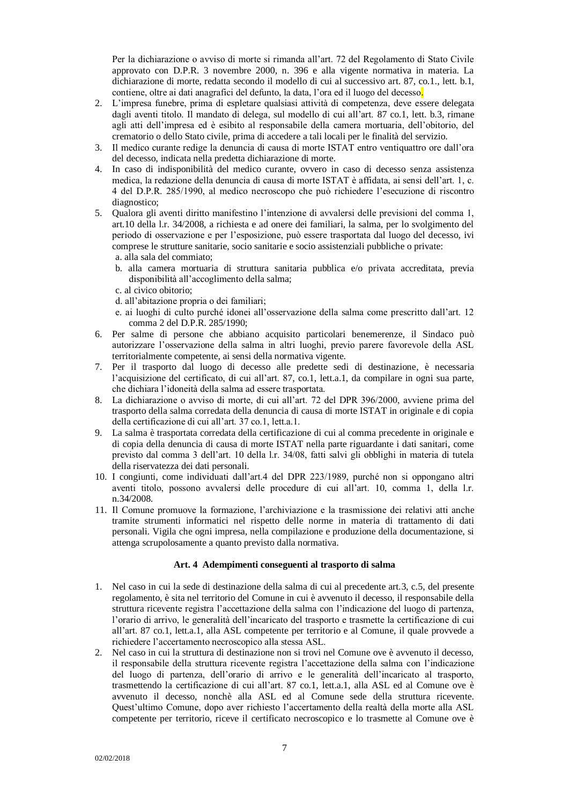Per la dichiarazione o avviso di morte si rimanda all'art. 72 del Regolamento di Stato Civile approvato con D.P.R. 3 novembre 2000, n. 396 e alla vigente normativa in materia. La dichiarazione di morte, redatta secondo il modello di cui al successivo art. 87, co.1., lett. b.1, contiene, oltre ai dati anagrafici del defunto, la data, l'ora ed il luogo del decesso.

- 2. L'impresa funebre, prima di espletare qualsiasi attività di competenza, deve essere delegata dagli aventi titolo. Il mandato di delega, sul modello di cui all'art. 87 co.1, lett. b.3, rimane agli atti dell'impresa ed è esibito al responsabile della camera mortuaria, dell'obitorio, del crematorio o dello Stato civile, prima di accedere a tali locali per le finalità del servizio.
- 3. Il medico curante redige la denuncia di causa di morte ISTAT entro ventiquattro ore dall'ora del decesso, indicata nella predetta dichiarazione di morte.
- 4. In caso di indisponibilità del medico curante, ovvero in caso di decesso senza assistenza medica, la redazione della denuncia di causa di morte ISTAT è affidata, ai sensi dell'art. 1, c. 4 del D.P.R. 285/1990, al medico necroscopo che può richiedere l'esecuzione di riscontro diagnostico;
- 5. Qualora gli aventi diritto manifestino l'intenzione di avvalersi delle previsioni del comma 1, art.10 della l.r. 34/2008, a richiesta e ad onere dei familiari, la salma, per lo svolgimento del periodo di osservazione e per l'esposizione, può essere trasportata dal luogo del decesso, ivi comprese le strutture sanitarie, socio sanitarie e socio assistenziali pubbliche o private:
	- a. alla sala del commiato;
	- b. alla camera mortuaria di struttura sanitaria pubblica e/o privata accreditata, previa disponibilità all'accoglimento della salma;
	- c. al civico obitorio;
	- d. all'abitazione propria o dei familiari;
	- e. ai luoghi di culto purché idonei all'osservazione della salma come prescritto dall'art. 12 comma 2 del D.P.R. 285/1990;
- 6. Per salme di persone che abbiano acquisito particolari benemerenze, il Sindaco può autorizzare l'osservazione della salma in altri luoghi, previo parere favorevole della ASL territorialmente competente, ai sensi della normativa vigente.
- 7. Per il trasporto dal luogo di decesso alle predette sedi di destinazione, è necessaria l'acquisizione del certificato, di cui all'art. 87, co.1, lett.a.1, da compilare in ogni sua parte, che dichiara l'idoneità della salma ad essere trasportata.
- 8. La dichiarazione o avviso di morte, di cui all'art. 72 del DPR 396/2000, avviene prima del trasporto della salma corredata della denuncia di causa di morte ISTAT in originale e di copia della certificazione di cui all'art. 37 co.1, lett.a.1.
- 9. La salma è trasportata corredata della certificazione di cui al comma precedente in originale e di copia della denuncia di causa di morte ISTAT nella parte riguardante i dati sanitari, come previsto dal comma 3 dell'art. 10 della l.r. 34/08, fatti salvi gli obblighi in materia di tutela della riservatezza dei dati personali.
- 10. I congiunti, come individuati dall'art.4 del DPR 223/1989, purché non si oppongano altri aventi titolo, possono avvalersi delle procedure di cui all'art. 10, comma 1, della l.r. n.34/2008.
- 11. Il Comune promuove la formazione, l'archiviazione e la trasmissione dei relativi atti anche tramite strumenti informatici nel rispetto delle norme in materia di trattamento di dati personali. Vigila che ogni impresa, nella compilazione e produzione della documentazione, si attenga scrupolosamente a quanto previsto dalla normativa.

# **Art. 4 Adempimenti conseguenti al trasporto di salma**

- <span id="page-6-0"></span>1. Nel caso in cui la sede di destinazione della salma di cui al precedente art.3, c.5, del presente regolamento, è sita nel territorio del Comune in cui è avvenuto il decesso, il responsabile della struttura ricevente registra l'accettazione della salma con l'indicazione del luogo di partenza, l'orario di arrivo, le generalità dell'incaricato del trasporto e trasmette la certificazione di cui all'art. 87 co.1, lett.a.1, alla ASL competente per territorio e al Comune, il quale provvede a richiedere l'accertamento necroscopico alla stessa ASL.
- 2. Nel caso in cui la struttura di destinazione non si trovi nel Comune ove è avvenuto il decesso, il responsabile della struttura ricevente registra l'accettazione della salma con l'indicazione del luogo di partenza, dell'orario di arrivo e le generalità dell'incaricato al trasporto, trasmettendo la certificazione di cui all'art. 87 co.1, lett.a.1, alla ASL ed al Comune ove è avvenuto il decesso, nonchè alla ASL ed al Comune sede della struttura ricevente. Quest'ultimo Comune, dopo aver richiesto l'accertamento della realtà della morte alla ASL competente per territorio, riceve il certificato necroscopico e lo trasmette al Comune ove è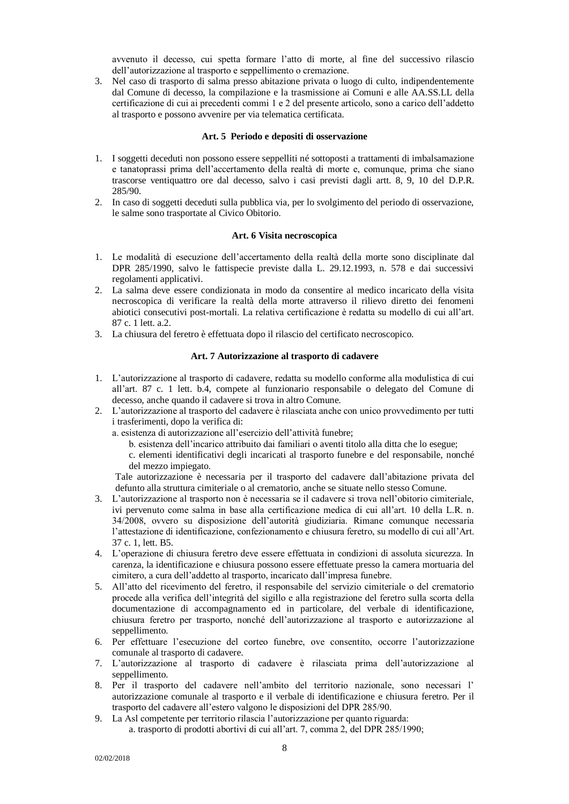avvenuto il decesso, cui spetta formare l'atto di morte, al fine del successivo rilascio dell'autorizzazione al trasporto e seppellimento o cremazione.

3. Nel caso di trasporto di salma presso abitazione privata o luogo di culto, indipendentemente dal Comune di decesso, la compilazione e la trasmissione ai Comuni e alle AA.SS.LL della certificazione di cui ai precedenti commi 1 e 2 del presente articolo, sono a carico dell'addetto al trasporto e possono avvenire per via telematica certificata.

#### **Art. 5 Periodo e depositi di osservazione**

- <span id="page-7-0"></span>1. I soggetti deceduti non possono essere seppelliti né sottoposti a trattamenti di imbalsamazione e tanatoprassi prima dell'accertamento della realtà di morte e, comunque, prima che siano trascorse ventiquattro ore dal decesso, salvo i casi previsti dagli artt. 8, 9, 10 del D.P.R. 285/90.
- 2. In caso di soggetti deceduti sulla pubblica via, per lo svolgimento del periodo di osservazione, le salme sono trasportate al Civico Obitorio.

#### **Art. 6 Visita necroscopica**

- <span id="page-7-1"></span>1. Le modalità di esecuzione dell'accertamento della realtà della morte sono disciplinate dal DPR 285/1990, salvo le fattispecie previste dalla L. 29.12.1993, n. 578 e dai successivi regolamenti applicativi.
- 2. La salma deve essere condizionata in modo da consentire al medico incaricato della visita necroscopica di verificare la realtà della morte attraverso il rilievo diretto dei fenomeni abiotici consecutivi post-mortali. La relativa certificazione è redatta su modello di cui all'art. 87 c. 1 lett. a.2.
- <span id="page-7-2"></span>3. La chiusura del feretro è effettuata dopo il rilascio del certificato necroscopico.

#### **Art. 7 Autorizzazione al trasporto di cadavere**

- 1. L'autorizzazione al trasporto di cadavere, redatta su modello conforme alla modulistica di cui all'art. 87 c. 1 lett. b.4, compete al funzionario responsabile o delegato del Comune di decesso, anche quando il cadavere si trova in altro Comune.
- 2. L'autorizzazione al trasporto del cadavere è rilasciata anche con unico provvedimento per tutti i trasferimenti, dopo la verifica di:
	- a. esistenza di autorizzazione all'esercizio dell'attività funebre;
		- b. esistenza dell'incarico attribuito dai familiari o aventi titolo alla ditta che lo esegue;
		- c. elementi identificativi degli incaricati al trasporto funebre e del responsabile, nonché del mezzo impiegato.

Tale autorizzazione è necessaria per il trasporto del cadavere dall'abitazione privata del defunto alla struttura cimiteriale o al crematorio, anche se situate nello stesso Comune.

- 3. L'autorizzazione al trasporto non è necessaria se il cadavere si trova nell'obitorio cimiteriale, ivi pervenuto come salma in base alla certificazione medica di cui all'art. 10 della L.R. n. 34/2008, ovvero su disposizione dell'autorità giudiziaria. Rimane comunque necessaria l'attestazione di identificazione, confezionamento e chiusura feretro, su modello di cui all'Art. 37 c. 1, lett. B5.
- 4. L'operazione di chiusura feretro deve essere effettuata in condizioni di assoluta sicurezza. In carenza, la identificazione e chiusura possono essere effettuate presso la camera mortuaria del cimitero, a cura dell'addetto al trasporto, incaricato dall'impresa funebre.
- 5. All'atto del ricevimento del feretro, il responsabile del servizio cimiteriale o del crematorio procede alla verifica dell'integrità del sigillo e alla registrazione del feretro sulla scorta della documentazione di accompagnamento ed in particolare, del verbale di identificazione, chiusura feretro per trasporto, nonché dell'autorizzazione al trasporto e autorizzazione al seppellimento.
- 6. Per effettuare l'esecuzione del corteo funebre, ove consentito, occorre l'autorizzazione comunale al trasporto di cadavere.
- 7. L'autorizzazione al trasporto di cadavere è rilasciata prima dell'autorizzazione al seppellimento.
- 8. Per il trasporto del cadavere nell'ambito del territorio nazionale, sono necessari l' autorizzazione comunale al trasporto e il verbale di identificazione e chiusura feretro. Per il trasporto del cadavere all'estero valgono le disposizioni del DPR 285/90.
- 9. La Asl competente per territorio rilascia l'autorizzazione per quanto riguarda: a. trasporto di prodotti abortivi di cui all'art. 7, comma 2, del DPR 285/1990;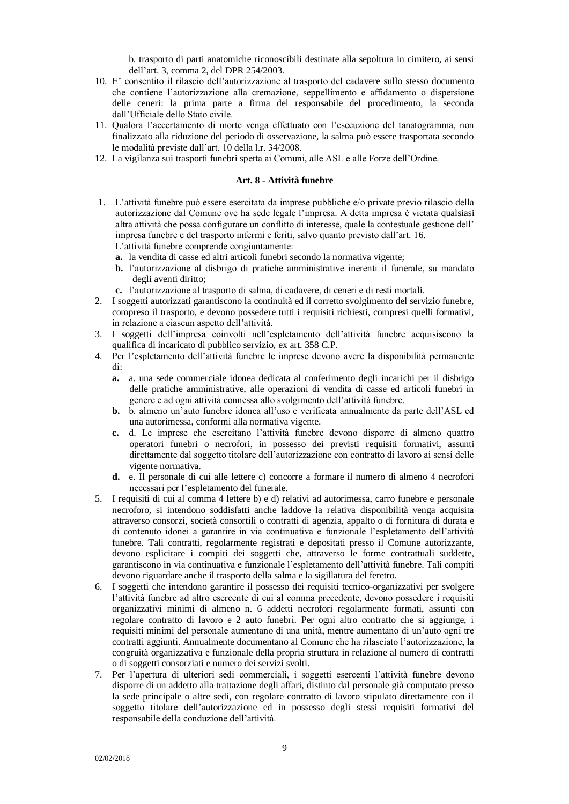b. trasporto di parti anatomiche riconoscibili destinate alla sepoltura in cimitero, ai sensi dell'art. 3, comma 2, del DPR 254/2003.

- 10. E' consentito il rilascio dell'autorizzazione al trasporto del cadavere sullo stesso documento che contiene l'autorizzazione alla cremazione, seppellimento e affidamento o dispersione delle ceneri: la prima parte a firma del responsabile del procedimento, la seconda dall'Ufficiale dello Stato civile.
- 11. Qualora l'accertamento di morte venga effettuato con l'esecuzione del tanatogramma, non finalizzato alla riduzione del periodo di osservazione, la salma può essere trasportata secondo le modalità previste dall'art. 10 della l.r. 34/2008.
- <span id="page-8-0"></span>12. La vigilanza sui trasporti funebri spetta ai Comuni, alle ASL e alle Forze dell'Ordine.

#### **Art. 8 - Attività funebre**

- 1. L'attività funebre può essere esercitata da imprese pubbliche e/o private previo rilascio della autorizzazione dal Comune ove ha sede legale l'impresa. A detta impresa è vietata qualsiasi altra attività che possa configurare un conflitto di interesse, quale la contestuale gestione dell' impresa funebre e del trasporto infermi e feriti, salvo quanto previsto dall'art. 16. L'attività funebre comprende congiuntamente:
	- **a.** la vendita di casse ed altri articoli funebri secondo la normativa vigente;
	- **b.** l'autorizzazione al disbrigo di pratiche amministrative inerenti il funerale, su mandato degli aventi diritto;
	- **c.** l'autorizzazione al trasporto di salma, di cadavere, di ceneri e di resti mortali.
- 2. I soggetti autorizzati garantiscono la continuità ed il corretto svolgimento del servizio funebre, compreso il trasporto, e devono possedere tutti i requisiti richiesti, compresi quelli formativi, in relazione a ciascun aspetto dell'attività.
- 3. I soggetti dell'impresa coinvolti nell'espletamento dell'attività funebre acquisiscono la qualifica di incaricato di pubblico servizio, ex art. 358 C.P.
- 4. Per l'espletamento dell'attività funebre le imprese devono avere la disponibilità permanente di:
	- **a.** a. una sede commerciale idonea dedicata al conferimento degli incarichi per il disbrigo delle pratiche amministrative, alle operazioni di vendita di casse ed articoli funebri in genere e ad ogni attività connessa allo svolgimento dell'attività funebre.
	- **b.** b. almeno un'auto funebre idonea all'uso e verificata annualmente da parte dell'ASL ed una autorimessa, conformi alla normativa vigente.
	- **c.** d. Le imprese che esercitano l'attività funebre devono disporre di almeno quattro operatori funebri o necrofori, in possesso dei previsti requisiti formativi, assunti direttamente dal soggetto titolare dell'autorizzazione con contratto di lavoro ai sensi delle vigente normativa.
	- **d.** e. Il personale di cui alle lettere c) concorre a formare il numero di almeno 4 necrofori necessari per l'espletamento del funerale.
- 5. I requisiti di cui al comma 4 lettere b) e d) relativi ad autorimessa, carro funebre e personale necroforo, si intendono soddisfatti anche laddove la relativa disponibilità venga acquisita attraverso consorzi, società consortili o contratti di agenzia, appalto o di fornitura di durata e di contenuto idonei a garantire in via continuativa e funzionale l'espletamento dell'attività funebre. Tali contratti, regolarmente registrati e depositati presso il Comune autorizzante, devono esplicitare i compiti dei soggetti che, attraverso le forme contrattuali suddette, garantiscono in via continuativa e funzionale l'espletamento dell'attività funebre. Tali compiti devono riguardare anche il trasporto della salma e la sigillatura del feretro.
- 6. I soggetti che intendono garantire il possesso dei requisiti tecnico-organizzativi per svolgere l'attività funebre ad altro esercente di cui al comma precedente, devono possedere i requisiti organizzativi minimi di almeno n. 6 addetti necrofori regolarmente formati, assunti con regolare contratto di lavoro e 2 auto funebri. Per ogni altro contratto che si aggiunge, i requisiti minimi del personale aumentano di una unità, mentre aumentano di un'auto ogni tre contratti aggiunti. Annualmente documentano al Comune che ha rilasciato l'autorizzazione, la congruità organizzativa e funzionale della propria struttura in relazione al numero di contratti o di soggetti consorziati e numero dei servizi svolti.
- 7. Per l'apertura di ulteriori sedi commerciali, i soggetti esercenti l'attività funebre devono disporre di un addetto alla trattazione degli affari, distinto dal personale già computato presso la sede principale o altre sedi, con regolare contratto di lavoro stipulato direttamente con il soggetto titolare dell'autorizzazione ed in possesso degli stessi requisiti formativi del responsabile della conduzione dell'attività.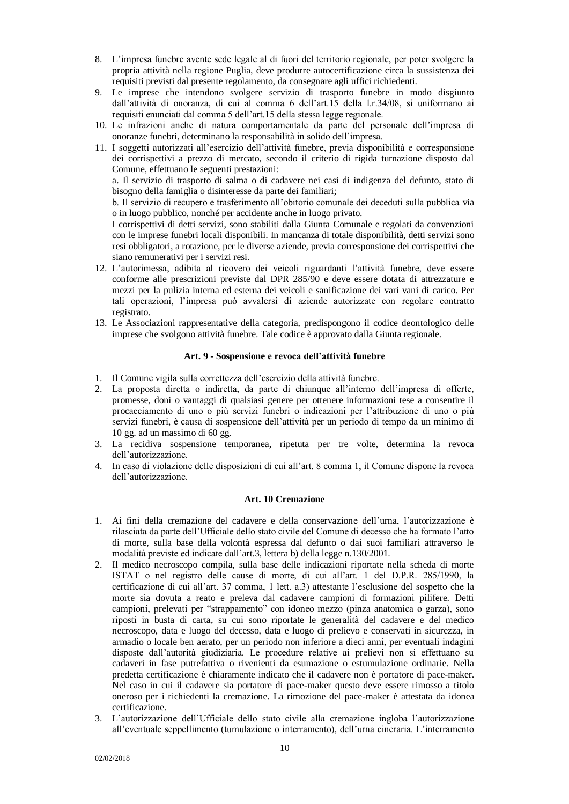- 8. L'impresa funebre avente sede legale al di fuori del territorio regionale, per poter svolgere la propria attività nella regione Puglia, deve produrre autocertificazione circa la sussistenza dei requisiti previsti dal presente regolamento, da consegnare agli uffici richiedenti.
- 9. Le imprese che intendono svolgere servizio di trasporto funebre in modo disgiunto dall'attività di onoranza, di cui al comma 6 dell'art.15 della l.r.34/08, si uniformano ai requisiti enunciati dal comma 5 dell'art.15 della stessa legge regionale.
- 10. Le infrazioni anche di natura comportamentale da parte del personale dell'impresa di onoranze funebri, determinano la responsabilità in solido dell'impresa.
- 11. I soggetti autorizzati all'esercizio dell'attività funebre, previa disponibilità e corresponsione dei corrispettivi a prezzo di mercato, secondo il criterio di rigida turnazione disposto dal Comune, effettuano le seguenti prestazioni:

a. Il servizio di trasporto di salma o di cadavere nei casi di indigenza del defunto, stato di bisogno della famiglia o disinteresse da parte dei familiari;

b. Il servizio di recupero e trasferimento all'obitorio comunale dei deceduti sulla pubblica via o in luogo pubblico, nonché per accidente anche in luogo privato.

I corrispettivi di detti servizi, sono stabiliti dalla Giunta Comunale e regolati da convenzioni con le imprese funebri locali disponibili. In mancanza di totale disponibilità, detti servizi sono resi obbligatori, a rotazione, per le diverse aziende, previa corresponsione dei corrispettivi che siano remunerativi per i servizi resi.

- 12. L'autorimessa, adibita al ricovero dei veicoli riguardanti l'attività funebre, deve essere conforme alle prescrizioni previste dal DPR 285/90 e deve essere dotata di attrezzature e mezzi per la pulizia interna ed esterna dei veicoli e sanificazione dei vari vani di carico. Per tali operazioni, l'impresa può avvalersi di aziende autorizzate con regolare contratto registrato.
- 13. Le Associazioni rappresentative della categoria, predispongono il codice deontologico delle imprese che svolgono attività funebre. Tale codice è approvato dalla Giunta regionale.

# **Art. 9 - Sospensione e revoca dell'attività funebre**

- <span id="page-9-0"></span>1. Il Comune vigila sulla correttezza dell'esercizio della attività funebre.
- 2. La proposta diretta o indiretta, da parte di chiunque all'interno dell'impresa di offerte, promesse, doni o vantaggi di qualsiasi genere per ottenere informazioni tese a consentire il procacciamento di uno o più servizi funebri o indicazioni per l'attribuzione di uno o più servizi funebri, è causa di sospensione dell'attività per un periodo di tempo da un minimo di 10 gg. ad un massimo di 60 gg.
- 3. La recidiva sospensione temporanea, ripetuta per tre volte, determina la revoca dell'autorizzazione.
- 4. In caso di violazione delle disposizioni di cui all'art. 8 comma 1, il Comune dispone la revoca dell'autorizzazione.

#### **Art. 10 Cremazione**

- <span id="page-9-1"></span>1. Ai fini della cremazione del cadavere e della conservazione dell'urna, l'autorizzazione è rilasciata da parte dell'Ufficiale dello stato civile del Comune di decesso che ha formato l'atto di morte, sulla base della volontà espressa dal defunto o dai suoi familiari attraverso le modalità previste ed indicate dall'art.3, lettera b) della legge n.130/2001.
- 2. Il medico necroscopo compila, sulla base delle indicazioni riportate nella scheda di morte ISTAT o nel registro delle cause di morte, di cui all'art. 1 del D.P.R. 285/1990, la certificazione di cui all'art. 37 comma, 1 lett. a.3) attestante l'esclusione del sospetto che la morte sia dovuta a reato e preleva dal cadavere campioni di formazioni pilifere. Detti campioni, prelevati per "strappamento" con idoneo mezzo (pinza anatomica o garza), sono riposti in busta di carta, su cui sono riportate le generalità del cadavere e del medico necroscopo, data e luogo del decesso, data e luogo di prelievo e conservati in sicurezza, in armadio o locale ben aerato, per un periodo non inferiore a dieci anni, per eventuali indagini disposte dall'autorità giudiziaria. Le procedure relative ai prelievi non si effettuano su cadaveri in fase putrefattiva o rivenienti da esumazione o estumulazione ordinarie. Nella predetta certificazione è chiaramente indicato che il cadavere non è portatore di pace-maker. Nel caso in cui il cadavere sia portatore di pace-maker questo deve essere rimosso a titolo oneroso per i richiedenti la cremazione. La rimozione del pace-maker è attestata da idonea certificazione.
- 3. L'autorizzazione dell'Ufficiale dello stato civile alla cremazione ingloba l'autorizzazione all'eventuale seppellimento (tumulazione o interramento), dell'urna cineraria. L'interramento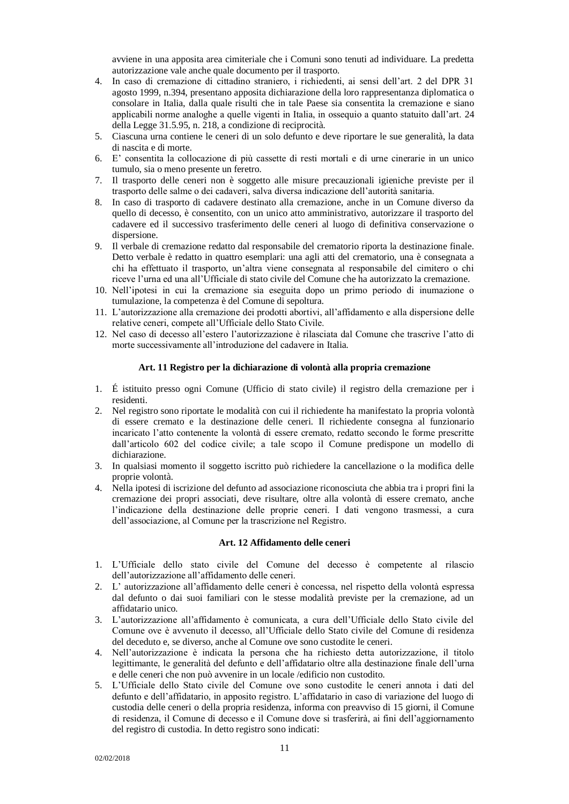avviene in una apposita area cimiteriale che i Comuni sono tenuti ad individuare. La predetta autorizzazione vale anche quale documento per il trasporto.

- 4. In caso di cremazione di cittadino straniero, i richiedenti, ai sensi dell'art. 2 del DPR 31 agosto 1999, n.394, presentano apposita dichiarazione della loro rappresentanza diplomatica o consolare in Italia, dalla quale risulti che in tale Paese sia consentita la cremazione e siano applicabili norme analoghe a quelle vigenti in Italia, in ossequio a quanto statuito dall'art. 24 della Legge 31.5.95, n. 218, a condizione di reciprocità.
- 5. Ciascuna urna contiene le ceneri di un solo defunto e deve riportare le sue generalità, la data di nascita e di morte.
- 6. E' consentita la collocazione di più cassette di resti mortali e di urne cinerarie in un unico tumulo, sia o meno presente un feretro.
- 7. Il trasporto delle ceneri non è soggetto alle misure precauzionali igieniche previste per il trasporto delle salme o dei cadaveri, salva diversa indicazione dell'autorità sanitaria.
- 8. In caso di trasporto di cadavere destinato alla cremazione, anche in un Comune diverso da quello di decesso, è consentito, con un unico atto amministrativo, autorizzare il trasporto del cadavere ed il successivo trasferimento delle ceneri al luogo di definitiva conservazione o dispersione.
- 9. Il verbale di cremazione redatto dal responsabile del crematorio riporta la destinazione finale. Detto verbale è redatto in quattro esemplari: una agli atti del crematorio, una è consegnata a chi ha effettuato il trasporto, un'altra viene consegnata al responsabile del cimitero o chi riceve l'urna ed una all'Ufficiale di stato civile del Comune che ha autorizzato la cremazione.
- 10. Nell'ipotesi in cui la cremazione sia eseguita dopo un primo periodo di inumazione o tumulazione, la competenza è del Comune di sepoltura.
- 11. L'autorizzazione alla cremazione dei prodotti abortivi, all'affidamento e alla dispersione delle relative ceneri, compete all'Ufficiale dello Stato Civile.
- 12. Nel caso di decesso all'estero l'autorizzazione è rilasciata dal Comune che trascrive l'atto di morte successivamente all'introduzione del cadavere in Italia.

### **Art. 11 Registro per la dichiarazione di volontà alla propria cremazione**

- <span id="page-10-0"></span>1. É istituito presso ogni Comune (Ufficio di stato civile) il registro della cremazione per i residenti.
- 2. Nel registro sono riportate le modalità con cui il richiedente ha manifestato la propria volontà di essere cremato e la destinazione delle ceneri. Il richiedente consegna al funzionario incaricato l'atto contenente la volontà di essere cremato, redatto secondo le forme prescritte dall'articolo 602 del codice civile; a tale scopo il Comune predispone un modello di dichiarazione.
- 3. In qualsiasi momento il soggetto iscritto può richiedere la cancellazione o la modifica delle proprie volontà.
- 4. Nella ipotesi di iscrizione del defunto ad associazione riconosciuta che abbia tra i propri fini la cremazione dei propri associati, deve risultare, oltre alla volontà di essere cremato, anche l'indicazione della destinazione delle proprie ceneri. I dati vengono trasmessi, a cura dell'associazione, al Comune per la trascrizione nel Registro.

# **Art. 12 Affidamento delle ceneri**

- <span id="page-10-1"></span>1. L'Ufficiale dello stato civile del Comune del decesso è competente al rilascio dell'autorizzazione all'affidamento delle ceneri.
- 2. L' autorizzazione all'affidamento delle ceneri è concessa, nel rispetto della volontà espressa dal defunto o dai suoi familiari con le stesse modalità previste per la cremazione, ad un affidatario unico.
- 3. L'autorizzazione all'affidamento è comunicata, a cura dell'Ufficiale dello Stato civile del Comune ove è avvenuto il decesso, all'Ufficiale dello Stato civile del Comune di residenza del deceduto e, se diverso, anche al Comune ove sono custodite le ceneri.
- 4. Nell'autorizzazione è indicata la persona che ha richiesto detta autorizzazione, il titolo legittimante, le generalità del defunto e dell'affidatario oltre alla destinazione finale dell'urna e delle ceneri che non può avvenire in un locale /edificio non custodito.
- 5. L'Ufficiale dello Stato civile del Comune ove sono custodite le ceneri annota i dati del defunto e dell'affidatario, in apposito registro. L'affidatario in caso di variazione del luogo di custodia delle ceneri o della propria residenza, informa con preavviso di 15 giorni, il Comune di residenza, il Comune di decesso e il Comune dove si trasferirà, ai fini dell'aggiornamento del registro di custodia. In detto registro sono indicati: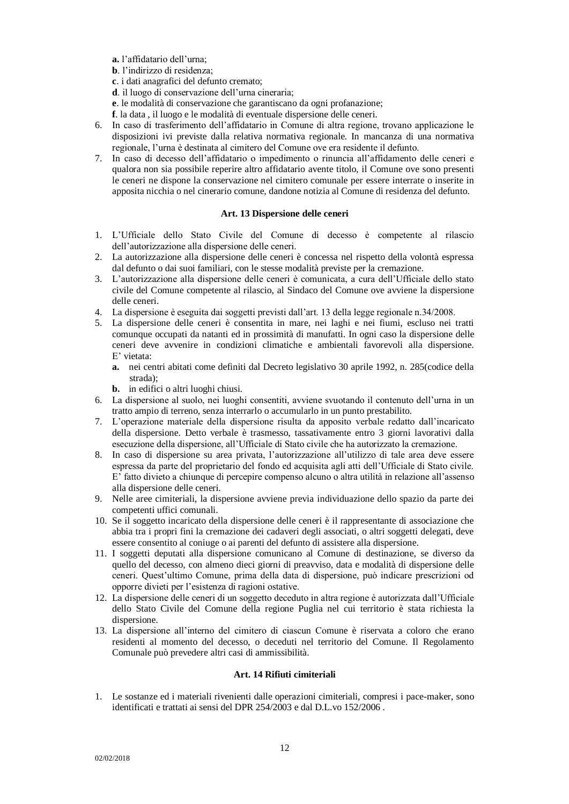**a.** l'affidatario dell'urna;

**b**. l'indirizzo di residenza;

**c**. i dati anagrafici del defunto cremato;

- **d**. il luogo di conservazione dell'urna cineraria;
- **e**. le modalità di conservazione che garantiscano da ogni profanazione;
- **f**. la data , il luogo e le modalità di eventuale dispersione delle ceneri.
- 6. In caso di trasferimento dell'affidatario in Comune di altra regione, trovano applicazione le disposizioni ivi previste dalla relativa normativa regionale. In mancanza di una normativa regionale, l'urna è destinata al cimitero del Comune ove era residente il defunto.
- 7. In caso di decesso dell'affidatario o impedimento o rinuncia all'affidamento delle ceneri e qualora non sia possibile reperire altro affidatario avente titolo, il Comune ove sono presenti le ceneri ne dispone la conservazione nel cimitero comunale per essere interrate o inserite in apposita nicchia o nel cinerario comune, dandone notizia al Comune di residenza del defunto.

#### **Art. 13 Dispersione delle ceneri**

- <span id="page-11-0"></span>1. L'Ufficiale dello Stato Civile del Comune di decesso è competente al rilascio dell'autorizzazione alla dispersione delle ceneri.
- 2. La autorizzazione alla dispersione delle ceneri è concessa nel rispetto della volontà espressa dal defunto o dai suoi familiari, con le stesse modalità previste per la cremazione.
- 3. L'autorizzazione alla dispersione delle ceneri è comunicata, a cura dell'Ufficiale dello stato civile del Comune competente al rilascio, al Sindaco del Comune ove avviene la dispersione delle ceneri.
- 4. La dispersione è eseguita dai soggetti previsti dall'art. 13 della legge regionale n.34/2008.
- 5. La dispersione delle ceneri è consentita in mare, nei laghi e nei fiumi, escluso nei tratti comunque occupati da natanti ed in prossimità di manufatti. In ogni caso la dispersione delle ceneri deve avvenire in condizioni climatiche e ambientali favorevoli alla dispersione. E' vietata:
	- **a.** nei centri abitati come definiti dal Decreto legislativo 30 aprile 1992, n. 285(codice della strada);
	- **b.** in edifici o altri luoghi chiusi.
- 6. La dispersione al suolo, nei luoghi consentiti, avviene svuotando il contenuto dell'urna in un tratto ampio di terreno, senza interrarlo o accumularlo in un punto prestabilito.
- 7. L'operazione materiale della dispersione risulta da apposito verbale redatto dall'incaricato della dispersione. Detto verbale è trasmesso, tassativamente entro 3 giorni lavorativi dalla esecuzione della dispersione, all'Ufficiale di Stato civile che ha autorizzato la cremazione.
- 8. In caso di dispersione su area privata, l'autorizzazione all'utilizzo di tale area deve essere espressa da parte del proprietario del fondo ed acquisita agli atti dell'Ufficiale di Stato civile. E' fatto divieto a chiunque di percepire compenso alcuno o altra utilità in relazione all'assenso alla dispersione delle ceneri.
- 9. Nelle aree cimiteriali, la dispersione avviene previa individuazione dello spazio da parte dei competenti uffici comunali.
- 10. Se il soggetto incaricato della dispersione delle ceneri è il rappresentante di associazione che abbia tra i propri fini la cremazione dei cadaveri degli associati, o altri soggetti delegati, deve essere consentito al coniuge o ai parenti del defunto di assistere alla dispersione.
- 11. I soggetti deputati alla dispersione comunicano al Comune di destinazione, se diverso da quello del decesso, con almeno dieci giorni di preavviso, data e modalità di dispersione delle ceneri. Quest'ultimo Comune, prima della data di dispersione, può indicare prescrizioni od opporre divieti per l'esistenza di ragioni ostative.
- 12. La dispersione delle ceneri di un soggetto deceduto in altra regione è autorizzata dall'Ufficiale dello Stato Civile del Comune della regione Puglia nel cui territorio è stata richiesta la dispersione.
- 13. La dispersione all'interno del cimitero di ciascun Comune è riservata a coloro che erano residenti al momento del decesso, o deceduti nel territorio del Comune. Il Regolamento Comunale può prevedere altri casi di ammissibilità.

# **Art. 14 Rifiuti cimiteriali**

<span id="page-11-1"></span>1. Le sostanze ed i materiali rivenienti dalle operazioni cimiteriali, compresi i pace-maker, sono identificati e trattati ai sensi del DPR 254/2003 e dal D.L.vo 152/2006 .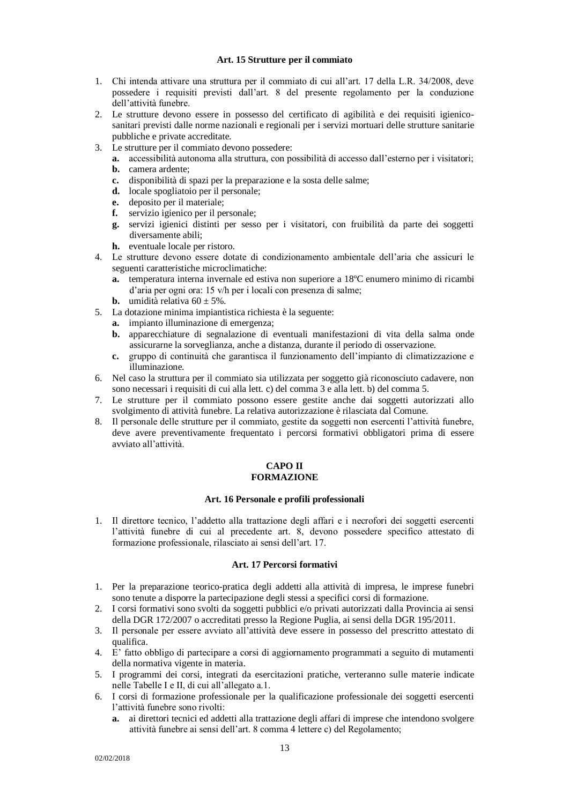# **Art. 15 Strutture per il commiato**

- <span id="page-12-0"></span>1. Chi intenda attivare una struttura per il commiato di cui all'art. 17 della L.R. 34/2008, deve possedere i requisiti previsti dall'art. 8 del presente regolamento per la conduzione dell'attività funebre.
- 2. Le strutture devono essere in possesso del certificato di agibilità e dei requisiti igienicosanitari previsti dalle norme nazionali e regionali per i servizi mortuari delle strutture sanitarie pubbliche e private accreditate.
- 3. Le strutture per il commiato devono possedere:
	- **a.** accessibilità autonoma alla struttura, con possibilità di accesso dall'esterno per i visitatori; **b.** camera ardente;
	- **c.** disponibilità di spazi per la preparazione e la sosta delle salme;
	- **d.** locale spogliatoio per il personale;
	- **e.** deposito per il materiale;
	- **f.** servizio igienico per il personale;
	- **g.** servizi igienici distinti per sesso per i visitatori, con fruibilità da parte dei soggetti diversamente abili;
	- **h.** eventuale locale per ristoro.
- 4. Le strutture devono essere dotate di condizionamento ambientale dell'aria che assicuri le seguenti caratteristiche microclimatiche:
	- **a.** temperatura interna invernale ed estiva non superiore a 18ºC enumero minimo di ricambi d'aria per ogni ora: 15 v/h per i locali con presenza di salme;
	- **b.** umidità relativa  $60 \pm 5\%$ .
- 5. La dotazione minima impiantistica richiesta è la seguente:
	- **a.** impianto illuminazione di emergenza;
	- **b.** apparecchiature di segnalazione di eventuali manifestazioni di vita della salma onde assicurarne la sorveglianza, anche a distanza, durante il periodo di osservazione.
	- **c.** gruppo di continuità che garantisca il funzionamento dell'impianto di climatizzazione e illuminazione.
- 6. Nel caso la struttura per il commiato sia utilizzata per soggetto già riconosciuto cadavere, non sono necessari i requisiti di cui alla lett. c) del comma 3 e alla lett. b) del comma 5.
- 7. Le strutture per il commiato possono essere gestite anche dai soggetti autorizzati allo svolgimento di attività funebre. La relativa autorizzazione è rilasciata dal Comune.
- <span id="page-12-1"></span>8. Il personale delle strutture per il commiato, gestite da soggetti non esercenti l'attività funebre, deve avere preventivamente frequentato i percorsi formativi obbligatori prima di essere avviato all'attività.

#### **CAPO II FORMAZIONE**

# **Art. 16 Personale e profili professionali**

<span id="page-12-3"></span><span id="page-12-2"></span>1. Il direttore tecnico, l'addetto alla trattazione degli affari e i necrofori dei soggetti esercenti l'attività funebre di cui al precedente art. 8, devono possedere specifico attestato di formazione professionale, rilasciato ai sensi dell'art. 17.

# **Art. 17 Percorsi formativi**

- <span id="page-12-4"></span>1. Per la preparazione teorico-pratica degli addetti alla attività di impresa, le imprese funebri sono tenute a disporre la partecipazione degli stessi a specifici corsi di formazione.
- 2. I corsi formativi sono svolti da soggetti pubblici e/o privati autorizzati dalla Provincia ai sensi della DGR 172/2007 o accreditati presso la Regione Puglia, ai sensi della DGR 195/2011.
- 3. Il personale per essere avviato all'attività deve essere in possesso del prescritto attestato di qualifica.
- 4. E' fatto obbligo di partecipare a corsi di aggiornamento programmati a seguito di mutamenti della normativa vigente in materia.
- 5. I programmi dei corsi, integrati da esercitazioni pratiche, verteranno sulle materie indicate nelle Tabelle I e II, di cui all'allegato a.1.
- 6. I corsi di formazione professionale per la qualificazione professionale dei soggetti esercenti l'attività funebre sono rivolti:
	- **a.** ai direttori tecnici ed addetti alla trattazione degli affari di imprese che intendono svolgere attività funebre ai sensi dell'art. 8 comma 4 lettere c) del Regolamento;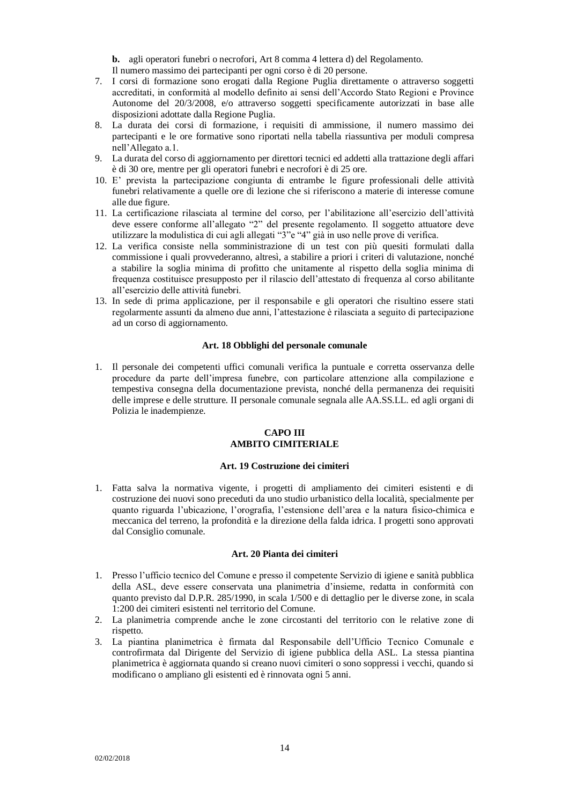**b.** agli operatori funebri o necrofori, Art 8 comma 4 lettera d) del Regolamento. Il numero massimo dei partecipanti per ogni corso è di 20 persone.

- 7. I corsi di formazione sono erogati dalla Regione Puglia direttamente o attraverso soggetti accreditati, in conformità al modello definito ai sensi dell'Accordo Stato Regioni e Province Autonome del 20/3/2008, e/o attraverso soggetti specificamente autorizzati in base alle disposizioni adottate dalla Regione Puglia.
- 8. La durata dei corsi di formazione, i requisiti di ammissione, il numero massimo dei partecipanti e le ore formative sono riportati nella tabella riassuntiva per moduli compresa nell'Allegato a.1.
- 9. La durata del corso di aggiornamento per direttori tecnici ed addetti alla trattazione degli affari è di 30 ore, mentre per gli operatori funebri e necrofori è di 25 ore.
- 10. E' prevista la partecipazione congiunta di entrambe le figure professionali delle attività funebri relativamente a quelle ore di lezione che si riferiscono a materie di interesse comune alle due figure.
- 11. La certificazione rilasciata al termine del corso, per l'abilitazione all'esercizio dell'attività deve essere conforme all'allegato "2" del presente regolamento. Il soggetto attuatore deve utilizzare la modulistica di cui agli allegati "3"e "4" già in uso nelle prove di verifica.
- 12. La verifica consiste nella somministrazione di un test con più quesiti formulati dalla commissione i quali provvederanno, altresì, a stabilire a priori i criteri di valutazione, nonché a stabilire la soglia minima di profitto che unitamente al rispetto della soglia minima di frequenza costituisce presupposto per il rilascio dell'attestato di frequenza al corso abilitante all'esercizio delle attività funebri.
- 13. In sede di prima applicazione, per il responsabile e gli operatori che risultino essere stati regolarmente assunti da almeno due anni, l'attestazione è rilasciata a seguito di partecipazione ad un corso di aggiornamento.

### **Art. 18 Obblighi del personale comunale**

<span id="page-13-0"></span>1. Il personale dei competenti uffici comunali verifica la puntuale e corretta osservanza delle procedure da parte dell'impresa funebre, con particolare attenzione alla compilazione e tempestiva consegna della documentazione prevista, nonché della permanenza dei requisiti delle imprese e delle strutture. II personale comunale segnala alle AA.SS.LL. ed agli organi di Polizia le inadempienze.

# **CAPO III AMBITO CIMITERIALE**

#### **Art. 19 Costruzione dei cimiteri**

<span id="page-13-3"></span><span id="page-13-2"></span><span id="page-13-1"></span>1. Fatta salva la normativa vigente, i progetti di ampliamento dei cimiteri esistenti e di costruzione dei nuovi sono preceduti da uno studio urbanistico della località, specialmente per quanto riguarda l'ubicazione, l'orografia, l'estensione dell'area e la natura fisico-chimica e meccanica del terreno, la profondità e la direzione della falda idrica. I progetti sono approvati dal Consiglio comunale.

#### **Art. 20 Pianta dei cimiteri**

- <span id="page-13-4"></span>1. Presso l'ufficio tecnico del Comune e presso il competente Servizio di igiene e sanità pubblica della ASL, deve essere conservata una planimetria d'insieme, redatta in conformità con quanto previsto dal D.P.R. 285/1990, in scala 1/500 e di dettaglio per le diverse zone, in scala 1:200 dei cimiteri esistenti nel territorio del Comune.
- 2. La planimetria comprende anche le zone circostanti del territorio con le relative zone di rispetto.
- 3. La piantina planimetrica è firmata dal Responsabile dell'Ufficio Tecnico Comunale e controfirmata dal Dirigente del Servizio di igiene pubblica della ASL. La stessa piantina planimetrica è aggiornata quando si creano nuovi cimiteri o sono soppressi i vecchi, quando si modificano o ampliano gli esistenti ed è rinnovata ogni 5 anni.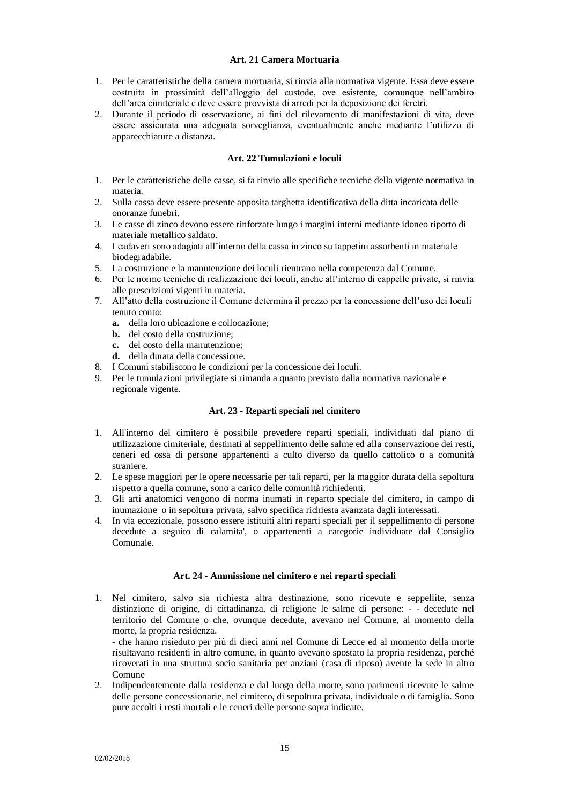# **Art. 21 Camera Mortuaria**

- <span id="page-14-0"></span>1. Per le caratteristiche della camera mortuaria, si rinvia alla normativa vigente. Essa deve essere costruita in prossimità dell'alloggio del custode, ove esistente, comunque nell'ambito dell'area cimiteriale e deve essere provvista di arredi per la deposizione dei feretri.
- 2. Durante il periodo di osservazione, ai fini del rilevamento di manifestazioni di vita, deve essere assicurata una adeguata sorveglianza, eventualmente anche mediante l'utilizzo di apparecchiature a distanza.

# **Art. 22 Tumulazioni e loculi**

- <span id="page-14-1"></span>1. Per le caratteristiche delle casse, si fa rinvio alle specifiche tecniche della vigente normativa in materia.
- 2. Sulla cassa deve essere presente apposita targhetta identificativa della ditta incaricata delle onoranze funebri.
- 3. Le casse di zinco devono essere rinforzate lungo i margini interni mediante idoneo riporto di materiale metallico saldato.
- 4. I cadaveri sono adagiati all'interno della cassa in zinco su tappetini assorbenti in materiale biodegradabile.
- 5. La costruzione e la manutenzione dei loculi rientrano nella competenza dal Comune.
- 6. Per le norme tecniche di realizzazione dei loculi, anche all'interno di cappelle private, si rinvia alle prescrizioni vigenti in materia.
- 7. All'atto della costruzione il Comune determina il prezzo per la concessione dell'uso dei loculi tenuto conto:
	- **a.** della loro ubicazione e collocazione;
	- **b.** del costo della costruzione;
	- **c.** del costo della manutenzione;
	- **d.** della durata della concessione.
- 8. I Comuni stabiliscono le condizioni per la concessione dei loculi.
- 9. Per le tumulazioni privilegiate si rimanda a quanto previsto dalla normativa nazionale e regionale vigente.

### **Art. 23 - Reparti speciali nel cimitero**

- <span id="page-14-2"></span>1. All'interno del cimitero è possibile prevedere reparti speciali, individuati dal piano di utilizzazione cimiteriale, destinati al seppellimento delle salme ed alla conservazione dei resti, ceneri ed ossa di persone appartenenti a culto diverso da quello cattolico o a comunità straniere.
- 2. Le spese maggiori per le opere necessarie per tali reparti, per la maggior durata della sepoltura rispetto a quella comune, sono a carico delle comunità richiedenti.
- 3. Gli arti anatomici vengono di norma inumati in reparto speciale del cimitero, in campo di inumazione o in sepoltura privata, salvo specifica richiesta avanzata dagli interessati.
- 4. In via eccezionale, possono essere istituiti altri reparti speciali per il seppellimento di persone decedute a seguito di calamita', o appartenenti a categorie individuate dal Consiglio Comunale.

#### **Art. 24 - Ammissione nel cimitero e nei reparti speciali**

<span id="page-14-3"></span>1. Nel cimitero, salvo sia richiesta altra destinazione, sono ricevute e seppellite, senza distinzione di origine, di cittadinanza, di religione le salme di persone: - - decedute nel territorio del Comune o che, ovunque decedute, avevano nel Comune, al momento della morte, la propria residenza.

- che hanno risieduto per più di dieci anni nel Comune di Lecce ed al momento della morte risultavano residenti in altro comune, in quanto avevano spostato la propria residenza, perché ricoverati in una struttura socio sanitaria per anziani (casa di riposo) avente la sede in altro Comune

2. Indipendentemente dalla residenza e dal luogo della morte, sono parimenti ricevute le salme delle persone concessionarie, nel cimitero, di sepoltura privata, individuale o di famiglia. Sono pure accolti i resti mortali e le ceneri delle persone sopra indicate.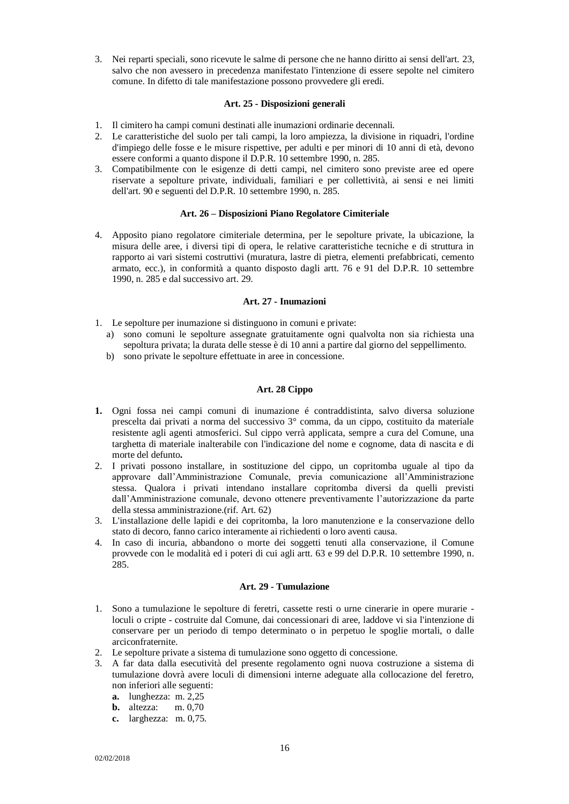3. Nei reparti speciali, sono ricevute le salme di persone che ne hanno diritto ai sensi dell'art. 23, salvo che non avessero in precedenza manifestato l'intenzione di essere sepolte nel cimitero comune. In difetto di tale manifestazione possono provvedere gli eredi.

# **Art. 25 - Disposizioni generali**

- <span id="page-15-0"></span>1. Il cimitero ha campi comuni destinati alle inumazioni ordinarie decennali.
- 2. Le caratteristiche del suolo per tali campi, la loro ampiezza, la divisione in riquadri, l'ordine d'impiego delle fosse e le misure rispettive, per adulti e per minori di 10 anni di età, devono essere conformi a quanto dispone il D.P.R. 10 settembre 1990, n. 285.
- 3. Compatibilmente con le esigenze di detti campi, nel cimitero sono previste aree ed opere riservate a sepolture private, individuali, familiari e per collettività, ai sensi e nei limiti dell'art. 90 e seguenti del D.P.R. 10 settembre 1990, n. 285.

# **Art. 26 – Disposizioni Piano Regolatore Cimiteriale**

<span id="page-15-1"></span>4. Apposito piano regolatore cimiteriale determina, per le sepolture private, la ubicazione, la misura delle aree, i diversi tipi di opera, le relative caratteristiche tecniche e di struttura in rapporto ai vari sistemi costruttivi (muratura, lastre di pietra, elementi prefabbricati, cemento armato, ecc.), in conformità a quanto disposto dagli artt. 76 e 91 del D.P.R. 10 settembre 1990, n. 285 e dal successivo art. 29.

# **Art. 27 - Inumazioni**

- <span id="page-15-2"></span>1. Le sepolture per inumazione si distinguono in comuni e private:
	- a) sono comuni le sepolture assegnate gratuitamente ogni qualvolta non sia richiesta una sepoltura privata; la durata delle stesse è di 10 anni a partire dal giorno del seppellimento.
	- b) sono private le sepolture effettuate in aree in concessione.

# **Art. 28 Cippo**

- <span id="page-15-3"></span>**1.** Ogni fossa nei campi comuni di inumazione é contraddistinta, salvo diversa soluzione prescelta dai privati a norma del successivo 3° comma, da un cippo, costituito da materiale resistente agli agenti atmosferici. Sul cippo verrà applicata, sempre a cura del Comune, una targhetta di materiale inalterabile con l'indicazione del nome e cognome, data di nascita e di morte del defunto**.**
- 2. I privati possono installare, in sostituzione del cippo, un copritomba uguale al tipo da approvare dall'Amministrazione Comunale, previa comunicazione all'Amministrazione stessa. Qualora i privati intendano installare copritomba diversi da quelli previsti dall'Amministrazione comunale, devono ottenere preventivamente l'autorizzazione da parte della stessa amministrazione.(rif. Art. 62)
- 3. L'installazione delle lapidi e dei copritomba, la loro manutenzione e la conservazione dello stato di decoro, fanno carico interamente ai richiedenti o loro aventi causa.
- 4. In caso di incuria, abbandono o morte dei soggetti tenuti alla conservazione, il Comune provvede con le modalità ed i poteri di cui agli artt. 63 e 99 del D.P.R. 10 settembre 1990, n. 285.

#### **Art. 29 - Tumulazione**

- <span id="page-15-4"></span>1. Sono a tumulazione le sepolture di feretri, cassette resti o urne cinerarie in opere murarie loculi o cripte - costruite dal Comune, dai concessionari di aree, laddove vi sia l'intenzione di conservare per un periodo di tempo determinato o in perpetuo le spoglie mortali, o dalle arciconfraternite.
- 2. Le sepolture private a sistema di tumulazione sono oggetto di concessione.
- 3. A far data dalla esecutività del presente regolamento ogni nuova costruzione a sistema di tumulazione dovrà avere loculi di dimensioni interne adeguate alla collocazione del feretro, non inferiori alle seguenti:
	- **a.** lunghezza: m. 2,25
	- **b.** altezza: m. 0,70
	- **c.** larghezza: m. 0,75.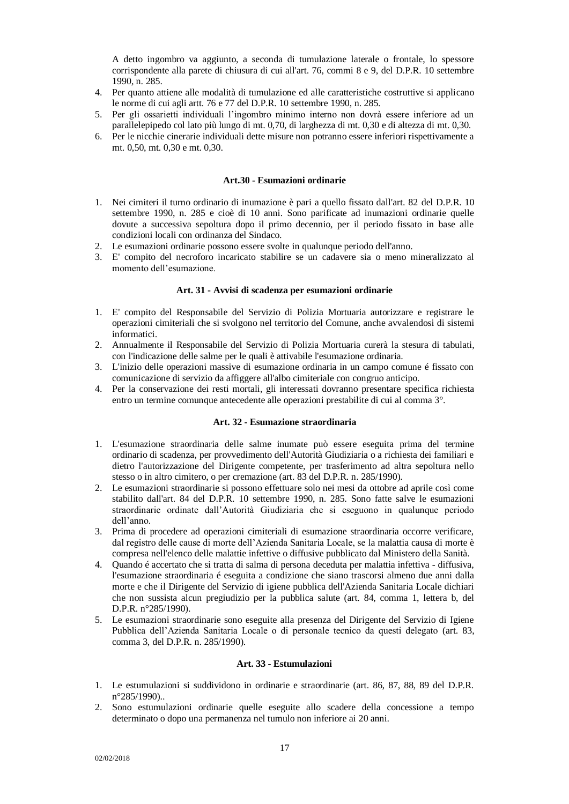A detto ingombro va aggiunto, a seconda di tumulazione laterale o frontale, lo spessore corrispondente alla parete di chiusura di cui all'art. 76, commi 8 e 9, del D.P.R. 10 settembre 1990, n. 285.

- 4. Per quanto attiene alle modalità di tumulazione ed alle caratteristiche costruttive si applicano le norme di cui agli artt. 76 e 77 del D.P.R. 10 settembre 1990, n. 285.
- 5. Per gli ossarietti individuali l'ingombro minimo interno non dovrà essere inferiore ad un parallelepipedo col lato più lungo di mt. 0,70, di larghezza di mt. 0,30 e di altezza di mt. 0,30.
- 6. Per le nicchie cinerarie individuali dette misure non potranno essere inferiori rispettivamente a mt. 0,50, mt. 0,30 e mt. 0,30.

#### **Art.30 - Esumazioni ordinarie**

- <span id="page-16-0"></span>1. Nei cimiteri il turno ordinario di inumazione è pari a quello fissato dall'art. 82 del D.P.R. 10 settembre 1990, n. 285 e cioè di 10 anni. Sono parificate ad inumazioni ordinarie quelle dovute a successiva sepoltura dopo il primo decennio, per il periodo fissato in base alle condizioni locali con ordinanza del Sindaco.
- 2. Le esumazioni ordinarie possono essere svolte in qualunque periodo dell'anno.
- 3. E' compito del necroforo incaricato stabilire se un cadavere sia o meno mineralizzato al momento dell'esumazione.

#### **Art. 31 - Avvisi di scadenza per esumazioni ordinarie**

- <span id="page-16-1"></span>1. E' compito del Responsabile del Servizio di Polizia Mortuaria autorizzare e registrare le operazioni cimiteriali che si svolgono nel territorio del Comune, anche avvalendosi di sistemi informatici.
- 2. Annualmente il Responsabile del Servizio di Polizia Mortuaria curerà la stesura di tabulati, con l'indicazione delle salme per le quali è attivabile l'esumazione ordinaria.
- 3. L'inizio delle operazioni massive di esumazione ordinaria in un campo comune é fissato con comunicazione di servizio da affiggere all'albo cimiteriale con congruo anticipo.
- 4. Per la conservazione dei resti mortali, gli interessati dovranno presentare specifica richiesta entro un termine comunque antecedente alle operazioni prestabilite di cui al comma 3°.

#### **Art. 32 - Esumazione straordinaria**

- <span id="page-16-2"></span>1. L'esumazione straordinaria delle salme inumate può essere eseguita prima del termine ordinario di scadenza, per provvedimento dell'Autorità Giudiziaria o a richiesta dei familiari e dietro l'autorizzazione del Dirigente competente, per trasferimento ad altra sepoltura nello stesso o in altro cimitero, o per cremazione (art. 83 del D.P.R. n. 285/1990).
- 2. Le esumazioni straordinarie si possono effettuare solo nei mesi da ottobre ad aprile così come stabilito dall'art. 84 del D.P.R. 10 settembre 1990, n. 285. Sono fatte salve le esumazioni straordinarie ordinate dall'Autorità Giudiziaria che si eseguono in qualunque periodo dell'anno.
- 3. Prima di procedere ad operazioni cimiteriali di esumazione straordinaria occorre verificare, dal registro delle cause di morte dell'Azienda Sanitaria Locale, se la malattia causa di morte è compresa nell'elenco delle malattie infettive o diffusive pubblicato dal Ministero della Sanità.
- 4. Quando é accertato che si tratta di salma di persona deceduta per malattia infettiva diffusiva, l'esumazione straordinaria é eseguita a condizione che siano trascorsi almeno due anni dalla morte e che il Dirigente del Servizio di igiene pubblica dell'Azienda Sanitaria Locale dichiari che non sussista alcun pregiudizio per la pubblica salute (art. 84, comma 1, lettera b, del D.P.R. n°285/1990).
- 5. Le esumazioni straordinarie sono eseguite alla presenza del Dirigente del Servizio di Igiene Pubblica dell'Azienda Sanitaria Locale o di personale tecnico da questi delegato (art. 83, comma 3, del D.P.R. n. 285/1990).

## **Art. 33 - Estumulazioni**

- <span id="page-16-3"></span>1. Le estumulazioni si suddividono in ordinarie e straordinarie (art. 86, 87, 88, 89 del D.P.R. n°285/1990)..
- 2. Sono estumulazioni ordinarie quelle eseguite allo scadere della concessione a tempo determinato o dopo una permanenza nel tumulo non inferiore ai 20 anni.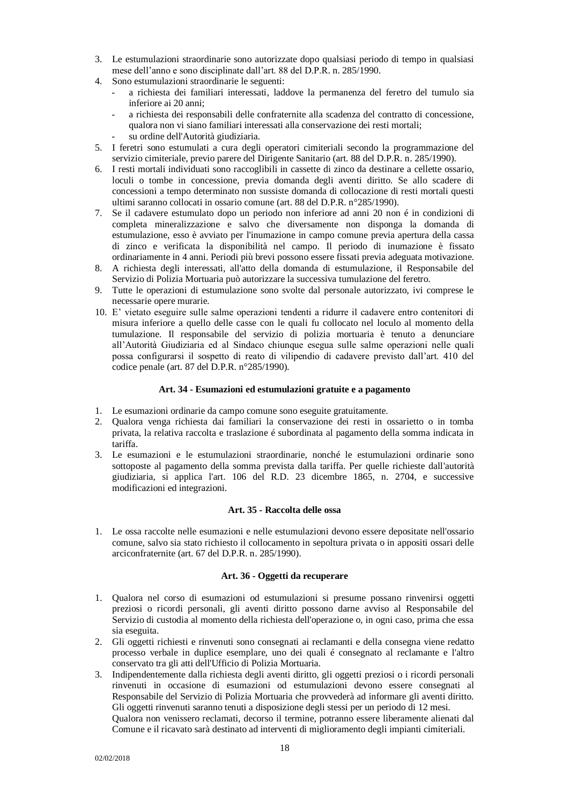- 3. Le estumulazioni straordinarie sono autorizzate dopo qualsiasi periodo di tempo in qualsiasi mese dell'anno e sono disciplinate dall'art. 88 del D.P.R. n. 285/1990.
- 4. Sono estumulazioni straordinarie le seguenti:
	- a richiesta dei familiari interessati, laddove la permanenza del feretro del tumulo sia inferiore ai 20 anni;
	- a richiesta dei responsabili delle confraternite alla scadenza del contratto di concessione, qualora non vi siano familiari interessati alla conservazione dei resti mortali;
	- su ordine dell'Autorità giudiziaria.
- 5. I feretri sono estumulati a cura degli operatori cimiteriali secondo la programmazione del servizio cimiteriale, previo parere del Dirigente Sanitario (art. 88 del D.P.R. n. 285/1990).
- 6. I resti mortali individuati sono raccoglibili in cassette di zinco da destinare a cellette ossario, loculi o tombe in concessione, previa domanda degli aventi diritto. Se allo scadere di concessioni a tempo determinato non sussiste domanda di collocazione di resti mortali questi ultimi saranno collocati in ossario comune (art. 88 del D.P.R. n°285/1990).
- 7. Se il cadavere estumulato dopo un periodo non inferiore ad anni 20 non é in condizioni di completa mineralizzazione e salvo che diversamente non disponga la domanda di estumulazione, esso è avviato per l'inumazione in campo comune previa apertura della cassa di zinco e verificata la disponibilità nel campo. Il periodo di inumazione è fissato ordinariamente in 4 anni. Periodi più brevi possono essere fissati previa adeguata motivazione.
- 8. A richiesta degli interessati, all'atto della domanda di estumulazione, il Responsabile del Servizio di Polizia Mortuaria può autorizzare la successiva tumulazione del feretro.
- 9. Tutte le operazioni di estumulazione sono svolte dal personale autorizzato, ivi comprese le necessarie opere murarie.
- 10. E' vietato eseguire sulle salme operazioni tendenti a ridurre il cadavere entro contenitori di misura inferiore a quello delle casse con le quali fu collocato nel loculo al momento della tumulazione. Il responsabile del servizio di polizia mortuaria è tenuto a denunciare all'Autorità Giudiziaria ed al Sindaco chiunque esegua sulle salme operazioni nelle quali possa configurarsi il sospetto di reato di vilipendio di cadavere previsto dall'art. 410 del codice penale (art. 87 del D.P.R. n°285/1990).

# **Art. 34 - Esumazioni ed estumulazioni gratuite e a pagamento**

- <span id="page-17-0"></span>1. Le esumazioni ordinarie da campo comune sono eseguite gratuitamente.
- 2. Qualora venga richiesta dai familiari la conservazione dei resti in ossarietto o in tomba privata, la relativa raccolta e traslazione é subordinata al pagamento della somma indicata in tariffa.
- 3. Le esumazioni e le estumulazioni straordinarie, nonché le estumulazioni ordinarie sono sottoposte al pagamento della somma prevista dalla tariffa. Per quelle richieste dall'autorità giudiziaria, si applica l'art. 106 del R.D. 23 dicembre 1865, n. 2704, e successive modificazioni ed integrazioni.

# **Art. 35 - Raccolta delle ossa**

<span id="page-17-1"></span>1. Le ossa raccolte nelle esumazioni e nelle estumulazioni devono essere depositate nell'ossario comune, salvo sia stato richiesto il collocamento in sepoltura privata o in appositi ossari delle arciconfraternite (art. 67 del D.P.R. n. 285/1990).

# **Art. 36 - Oggetti da recuperare**

- <span id="page-17-2"></span>1. Qualora nel corso di esumazioni od estumulazioni si presume possano rinvenirsi oggetti preziosi o ricordi personali, gli aventi diritto possono darne avviso al Responsabile del Servizio di custodia al momento della richiesta dell'operazione o, in ogni caso, prima che essa sia eseguita.
- 2. Gli oggetti richiesti e rinvenuti sono consegnati ai reclamanti e della consegna viene redatto processo verbale in duplice esemplare, uno dei quali é consegnato al reclamante e l'altro conservato tra gli atti dell'Ufficio di Polizia Mortuaria.
- 3. Indipendentemente dalla richiesta degli aventi diritto, gli oggetti preziosi o i ricordi personali rinvenuti in occasione di esumazioni od estumulazioni devono essere consegnati al Responsabile del Servizio di Polizia Mortuaria che provvederà ad informare gli aventi diritto. Gli oggetti rinvenuti saranno tenuti a disposizione degli stessi per un periodo di 12 mesi. Qualora non venissero reclamati, decorso il termine, potranno essere liberamente alienati dal Comune e il ricavato sarà destinato ad interventi di miglioramento degli impianti cimiteriali.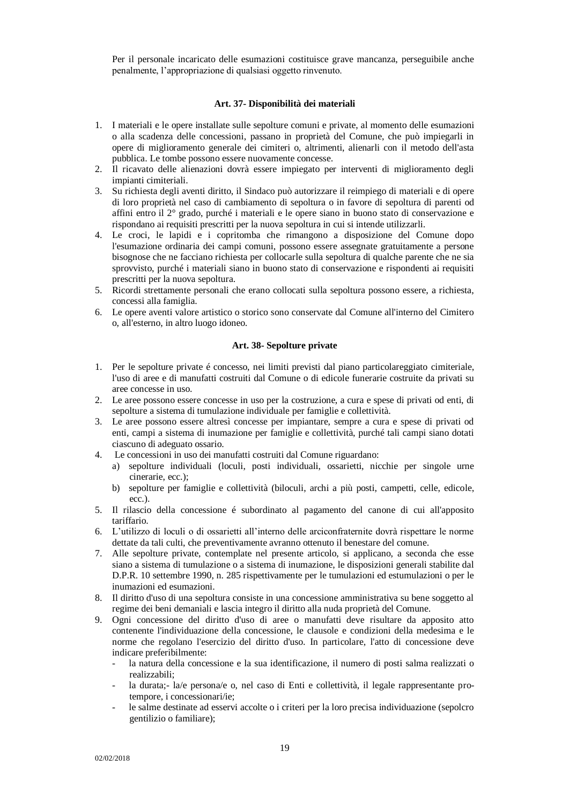Per il personale incaricato delle esumazioni costituisce grave mancanza, perseguibile anche penalmente, l'appropriazione di qualsiasi oggetto rinvenuto.

#### **Art. 37- Disponibilità dei materiali**

- <span id="page-18-0"></span>1. I materiali e le opere installate sulle sepolture comuni e private, al momento delle esumazioni o alla scadenza delle concessioni, passano in proprietà del Comune, che può impiegarli in opere di miglioramento generale dei cimiteri o, altrimenti, alienarli con il metodo dell'asta pubblica. Le tombe possono essere nuovamente concesse.
- 2. Il ricavato delle alienazioni dovrà essere impiegato per interventi di miglioramento degli impianti cimiteriali.
- 3. Su richiesta degli aventi diritto, il Sindaco può autorizzare il reimpiego di materiali e di opere di loro proprietà nel caso di cambiamento di sepoltura o in favore di sepoltura di parenti od affini entro il 2° grado, purché i materiali e le opere siano in buono stato di conservazione e rispondano ai requisiti prescritti per la nuova sepoltura in cui si intende utilizzarli.
- 4. Le croci, le lapidi e i copritomba che rimangono a disposizione del Comune dopo l'esumazione ordinaria dei campi comuni, possono essere assegnate gratuitamente a persone bisognose che ne facciano richiesta per collocarle sulla sepoltura di qualche parente che ne sia sprovvisto, purché i materiali siano in buono stato di conservazione e rispondenti ai requisiti prescritti per la nuova sepoltura.
- 5. Ricordi strettamente personali che erano collocati sulla sepoltura possono essere, a richiesta, concessi alla famiglia.
- 6. Le opere aventi valore artistico o storico sono conservate dal Comune all'interno del Cimitero o, all'esterno, in altro luogo idoneo.

#### **Art. 38- Sepolture private**

- <span id="page-18-1"></span>1. Per le sepolture private é concesso, nei limiti previsti dal piano particolareggiato cimiteriale, l'uso di aree e di manufatti costruiti dal Comune o di edicole funerarie costruite da privati su aree concesse in uso.
- 2. Le aree possono essere concesse in uso per la costruzione, a cura e spese di privati od enti, di sepolture a sistema di tumulazione individuale per famiglie e collettività.
- 3. Le aree possono essere altresì concesse per impiantare, sempre a cura e spese di privati od enti, campi a sistema di inumazione per famiglie e collettività, purché tali campi siano dotati ciascuno di adeguato ossario.
- 4. Le concessioni in uso dei manufatti costruiti dal Comune riguardano:
	- a) sepolture individuali (loculi, posti individuali, ossarietti, nicchie per singole urne cinerarie, ecc.);
	- b) sepolture per famiglie e collettività (biloculi, archi a più posti, campetti, celle, edicole, ecc.).
- 5. Il rilascio della concessione é subordinato al pagamento del canone di cui all'apposito tariffario.
- 6. L'utilizzo di loculi o di ossarietti all'interno delle arciconfraternite dovrà rispettare le norme dettate da tali culti, che preventivamente avranno ottenuto il benestare del comune.
- 7. Alle sepolture private, contemplate nel presente articolo, si applicano, a seconda che esse siano a sistema di tumulazione o a sistema di inumazione, le disposizioni generali stabilite dal D.P.R. 10 settembre 1990, n. 285 rispettivamente per le tumulazioni ed estumulazioni o per le inumazioni ed esumazioni.
- 8. Il diritto d'uso di una sepoltura consiste in una concessione amministrativa su bene soggetto al regime dei beni demaniali e lascia integro il diritto alla nuda proprietà del Comune.
- 9. Ogni concessione del diritto d'uso di aree o manufatti deve risultare da apposito atto contenente l'individuazione della concessione, le clausole e condizioni della medesima e le norme che regolano l'esercizio del diritto d'uso. In particolare, l'atto di concessione deve indicare preferibilmente:
	- la natura della concessione e la sua identificazione, il numero di posti salma realizzati o realizzabili;
	- la durata;- la/e persona/e o, nel caso di Enti e collettività, il legale rappresentante protempore, i concessionari/ie;
	- le salme destinate ad esservi accolte o i criteri per la loro precisa individuazione (sepolcro gentilizio o familiare);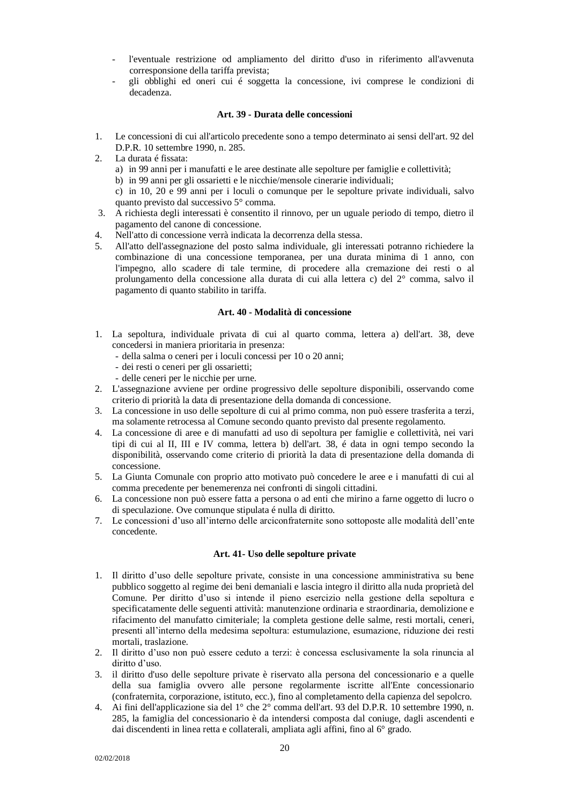- l'eventuale restrizione od ampliamento del diritto d'uso in riferimento all'avvenuta corresponsione della tariffa prevista;
- gli obblighi ed oneri cui é soggetta la concessione, ivi comprese le condizioni di decadenza.

#### **Art. 39 - Durata delle concessioni**

- <span id="page-19-0"></span>1. Le concessioni di cui all'articolo precedente sono a tempo determinato ai sensi dell'art. 92 del D.P.R. 10 settembre 1990, n. 285.
- 2. La durata é fissata:
	- a) in 99 anni per i manufatti e le aree destinate alle sepolture per famiglie e collettività;
	- b) in 99 anni per gli ossarietti e le nicchie/mensole cinerarie individuali;
	- c) in 10, 20 e 99 anni per i loculi o comunque per le sepolture private individuali, salvo quanto previsto dal successivo 5° comma.
- 3. A richiesta degli interessati è consentito il rinnovo, per un uguale periodo di tempo, dietro il pagamento del canone di concessione.
- 4. Nell'atto di concessione verrà indicata la decorrenza della stessa.
- 5. All'atto dell'assegnazione del posto salma individuale, gli interessati potranno richiedere la combinazione di una concessione temporanea, per una durata minima di 1 anno, con l'impegno, allo scadere di tale termine, di procedere alla cremazione dei resti o al prolungamento della concessione alla durata di cui alla lettera c) del 2° comma, salvo il pagamento di quanto stabilito in tariffa.

#### **Art. 40 - Modalità di concessione**

- <span id="page-19-1"></span>1. La sepoltura, individuale privata di cui al quarto comma, lettera a) dell'art. 38, deve concedersi in maniera prioritaria in presenza:
	- della salma o ceneri per i loculi concessi per 10 o 20 anni;
	- dei resti o ceneri per gli ossarietti;
	- delle ceneri per le nicchie per urne.
- 2. L'assegnazione avviene per ordine progressivo delle sepolture disponibili, osservando come criterio di priorità la data di presentazione della domanda di concessione.
- 3. La concessione in uso delle sepolture di cui al primo comma, non può essere trasferita a terzi, ma solamente retrocessa al Comune secondo quanto previsto dal presente regolamento.
- 4. La concessione di aree e di manufatti ad uso di sepoltura per famiglie e collettività, nei vari tipi di cui al II, III e IV comma, lettera b) dell'art. 38, é data in ogni tempo secondo la disponibilità, osservando come criterio di priorità la data di presentazione della domanda di concessione.
- 5. La Giunta Comunale con proprio atto motivato può concedere le aree e i manufatti di cui al comma precedente per benemerenza nei confronti di singoli cittadini.
- 6. La concessione non può essere fatta a persona o ad enti che mirino a farne oggetto di lucro o di speculazione. Ove comunque stipulata é nulla di diritto.
- 7. Le concessioni d'uso all'interno delle arciconfraternite sono sottoposte alle modalità dell'ente concedente.

## **Art. 41- Uso delle sepolture private**

- <span id="page-19-2"></span>1. Il diritto d'uso delle sepolture private, consiste in una concessione amministrativa su bene pubblico soggetto al regime dei beni demaniali e lascia integro il diritto alla nuda proprietà del Comune. Per diritto d'uso si intende il pieno esercizio nella gestione della sepoltura e specificatamente delle seguenti attività: manutenzione ordinaria e straordinaria, demolizione e rifacimento del manufatto cimiteriale; la completa gestione delle salme, resti mortali, ceneri, presenti all'interno della medesima sepoltura: estumulazione, esumazione, riduzione dei resti mortali, traslazione.
- 2. Il diritto d'uso non può essere ceduto a terzi: è concessa esclusivamente la sola rinuncia al diritto d'uso.
- 3. il diritto d'uso delle sepolture private è riservato alla persona del concessionario e a quelle della sua famiglia ovvero alle persone regolarmente iscritte all'Ente concessionario (confraternita, corporazione, istituto, ecc.), fino al completamento della capienza del sepolcro.
- 4. Ai fini dell'applicazione sia del 1° che 2° comma dell'art. 93 del D.P.R. 10 settembre 1990, n. 285, la famiglia del concessionario è da intendersi composta dal coniuge, dagli ascendenti e dai discendenti in linea retta e collaterali, ampliata agli affini, fino al 6° grado.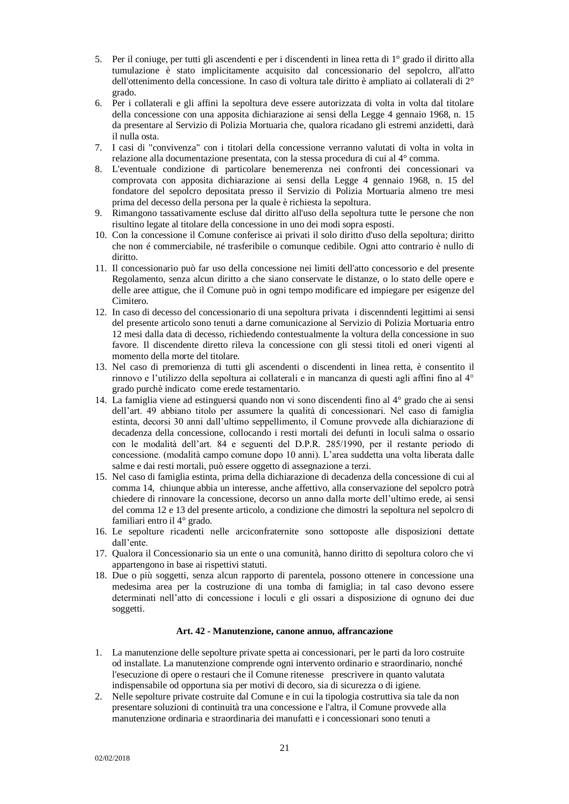- 5. Per il coniuge, per tutti gli ascendenti e per i discendenti in linea retta di 1° grado il diritto alla tumulazione è stato implicitamente acquisito dal concessionario del sepolcro, all'atto dell'ottenimento della concessione. In caso di voltura tale diritto è ampliato ai collaterali di 2° grado.
- 6. Per i collaterali e gli affini la sepoltura deve essere autorizzata di volta in volta dal titolare della concessione con una apposita dichiarazione ai sensi della Legge 4 gennaio 1968, n. 15 da presentare al Servizio di Polizia Mortuaria che, qualora ricadano gli estremi anzidetti, darà il nulla osta.
- 7. I casi di "convivenza" con i titolari della concessione verranno valutati di volta in volta in relazione alla documentazione presentata, con la stessa procedura di cui al 4° comma.
- 8. L'eventuale condizione di particolare benemerenza nei confronti dei concessionari va comprovata con apposita dichiarazione ai sensi della Legge 4 gennaio 1968, n. 15 del fondatore del sepolcro depositata presso il Servizio di Polizia Mortuaria almeno tre mesi prima del decesso della persona per la quale è richiesta la sepoltura.
- 9. Rimangono tassativamente escluse dal diritto all'uso della sepoltura tutte le persone che non risultino legate al titolare della concessione in uno dei modi sopra esposti.
- 10. Con la concessione il Comune conferisce ai privati il solo diritto d'uso della sepoltura; diritto che non é commerciabile, né trasferibile o comunque cedibile. Ogni atto contrario è nullo di diritto.
- 11. Il concessionario può far uso della concessione nei limiti dell'atto concessorio e del presente Regolamento, senza alcun diritto a che siano conservate le distanze, o lo stato delle opere e delle aree attigue, che il Comune può in ogni tempo modificare ed impiegare per esigenze del Cimitero.
- 12. In caso di decesso del concessionario di una sepoltura privata i discenndenti legittimi ai sensi del presente articolo sono tenuti a darne comunicazione al Servizio di Polizia Mortuaria entro 12 mesi dalla data di decesso, richiedendo contestualmente la voltura della concessione in suo favore. Il discendente diretto rileva la concessione con gli stessi titoli ed oneri vigenti al momento della morte del titolare.
- 13. Nel caso di premorienza di tutti gli ascendenti o discendenti in linea retta, è consentito il rinnovo e l'utilizzo della sepoltura ai collaterali e in mancanza di questi agli affini fino al 4° grado purchè indicato come erede testamentario.
- 14. La famiglia viene ad estinguersi quando non vi sono discendenti fino al 4° grado che ai sensi dell'art. 49 abbiano titolo per assumere la qualità di concessionari. Nel caso di famiglia estinta, decorsi 30 anni dall'ultimo seppellimento, il Comune provvede alla dichiarazione di decadenza della concessione, collocando i resti mortali dei defunti in loculi salma o ossario con le modalità dell'art. 84 e seguenti del D.P.R. 285/1990, per il restante periodo di concessione. (modalità campo comune dopo 10 anni). L'area suddetta una volta liberata dalle salme e dai resti mortali, può essere oggetto di assegnazione a terzi.
- 15. Nel caso di famiglia estinta, prima della dichiarazione di decadenza della concessione di cui al comma 14, chiunque abbia un interesse, anche affettivo, alla conservazione del sepolcro potrà chiedere di rinnovare la concessione, decorso un anno dalla morte dell'ultimo erede, ai sensi del comma 12 e 13 del presente articolo, a condizione che dimostri la sepoltura nel sepolcro di familiari entro il 4° grado.
- 16. Le sepolture ricadenti nelle arciconfraternite sono sottoposte alle disposizioni dettate dall'ente.
- 17. Qualora il Concessionario sia un ente o una comunità, hanno diritto di sepoltura coloro che vi appartengono in base ai rispettivi statuti.
- 18. Due o più soggetti, senza alcun rapporto di parentela, possono ottenere in concessione una medesima area per la costruzione di una tomba di famiglia; in tal caso devono essere determinati nell'atto di concessione i loculi e gli ossari a disposizione di ognuno dei due soggetti.

# **Art. 42 - Manutenzione, canone annuo, affrancazione**

- <span id="page-20-0"></span>1. La manutenzione delle sepolture private spetta ai concessionari, per le parti da loro costruite od installate. La manutenzione comprende ogni intervento ordinario e straordinario, nonché l'esecuzione di opere o restauri che il Comune ritenesse prescrivere in quanto valutata indispensabile od opportuna sia per motivi di decoro, sia di sicurezza o di igiene.
- 2. Nelle sepolture private costruite dal Comune e in cui la tipologia costruttiva sia tale da non presentare soluzioni di continuità tra una concessione e l'altra, il Comune provvede alla manutenzione ordinaria e straordinaria dei manufatti e i concessionari sono tenuti a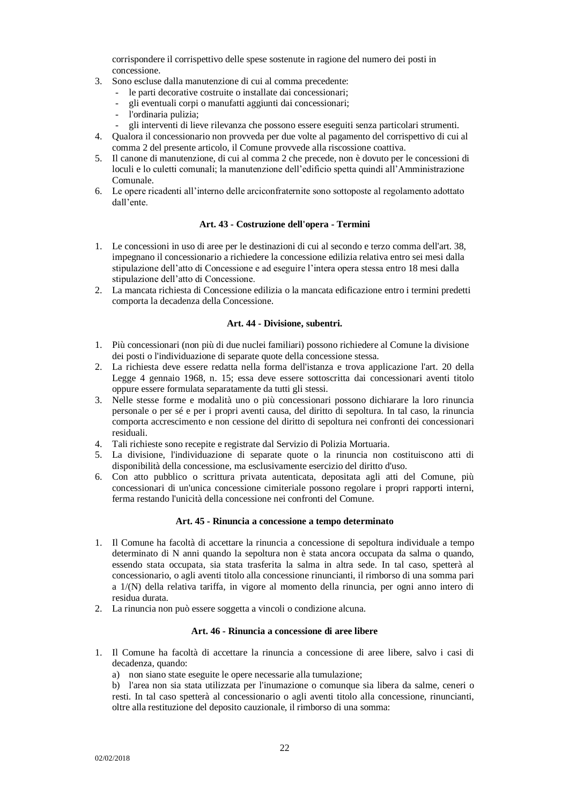corrispondere il corrispettivo delle spese sostenute in ragione del numero dei posti in concessione.

- 3. Sono escluse dalla manutenzione di cui al comma precedente:
	- le parti decorative costruite o installate dai concessionari;
	- gli eventuali corpi o manufatti aggiunti dai concessionari;
	- l'ordinaria pulizia;
	- gli interventi di lieve rilevanza che possono essere eseguiti senza particolari strumenti.
- 4. Qualora il concessionario non provveda per due volte al pagamento del corrispettivo di cui al comma 2 del presente articolo, il Comune provvede alla riscossione coattiva.
- 5. Il canone di manutenzione, di cui al comma 2 che precede, non è dovuto per le concessioni di loculi e lo culetti comunali; la manutenzione dell'edificio spetta quindi all'Amministrazione Comunale.
- 6. Le opere ricadenti all'interno delle arciconfraternite sono sottoposte al regolamento adottato dall'ente.

# **Art. 43 - Costruzione dell'opera - Termini**

- <span id="page-21-0"></span>1. Le concessioni in uso di aree per le destinazioni di cui al secondo e terzo comma dell'art. 38, impegnano il concessionario a richiedere la concessione edilizia relativa entro sei mesi dalla stipulazione dell'atto di Concessione e ad eseguire l'intera opera stessa entro 18 mesi dalla stipulazione dell'atto di Concessione.
- 2. La mancata richiesta di Concessione edilizia o la mancata edificazione entro i termini predetti comporta la decadenza della Concessione.

#### **Art. 44 - Divisione, subentri.**

- <span id="page-21-1"></span>1. Più concessionari (non più di due nuclei familiari) possono richiedere al Comune la divisione dei posti o l'individuazione di separate quote della concessione stessa.
- 2. La richiesta deve essere redatta nella forma dell'istanza e trova applicazione l'art. 20 della Legge 4 gennaio 1968, n. 15; essa deve essere sottoscritta dai concessionari aventi titolo oppure essere formulata separatamente da tutti gli stessi.
- 3. Nelle stesse forme e modalità uno o più concessionari possono dichiarare la loro rinuncia personale o per sé e per i propri aventi causa, del diritto di sepoltura. In tal caso, la rinuncia comporta accrescimento e non cessione del diritto di sepoltura nei confronti dei concessionari residuali.
- 4. Tali richieste sono recepite e registrate dal Servizio di Polizia Mortuaria.
- 5. La divisione, l'individuazione di separate quote o la rinuncia non costituiscono atti di disponibilità della concessione, ma esclusivamente esercizio del diritto d'uso.
- 6. Con atto pubblico o scrittura privata autenticata, depositata agli atti del Comune, più concessionari di un'unica concessione cimiteriale possono regolare i propri rapporti interni, ferma restando l'unicità della concessione nei confronti del Comune.

### **Art. 45 - Rinuncia a concessione a tempo determinato**

- <span id="page-21-2"></span>1. Il Comune ha facoltà di accettare la rinuncia a concessione di sepoltura individuale a tempo determinato di N anni quando la sepoltura non è stata ancora occupata da salma o quando, essendo stata occupata, sia stata trasferita la salma in altra sede. In tal caso, spetterà al concessionario, o agli aventi titolo alla concessione rinuncianti, il rimborso di una somma pari a 1/(N) della relativa tariffa, in vigore al momento della rinuncia, per ogni anno intero di residua durata.
- <span id="page-21-3"></span>2. La rinuncia non può essere soggetta a vincoli o condizione alcuna.

# **Art. 46 - Rinuncia a concessione di aree libere**

- 1. Il Comune ha facoltà di accettare la rinuncia a concessione di aree libere, salvo i casi di decadenza, quando:
	- a) non siano state eseguite le opere necessarie alla tumulazione;

b) l'area non sia stata utilizzata per l'inumazione o comunque sia libera da salme, ceneri o resti. In tal caso spetterà al concessionario o agli aventi titolo alla concessione, rinuncianti, oltre alla restituzione del deposito cauzionale, il rimborso di una somma: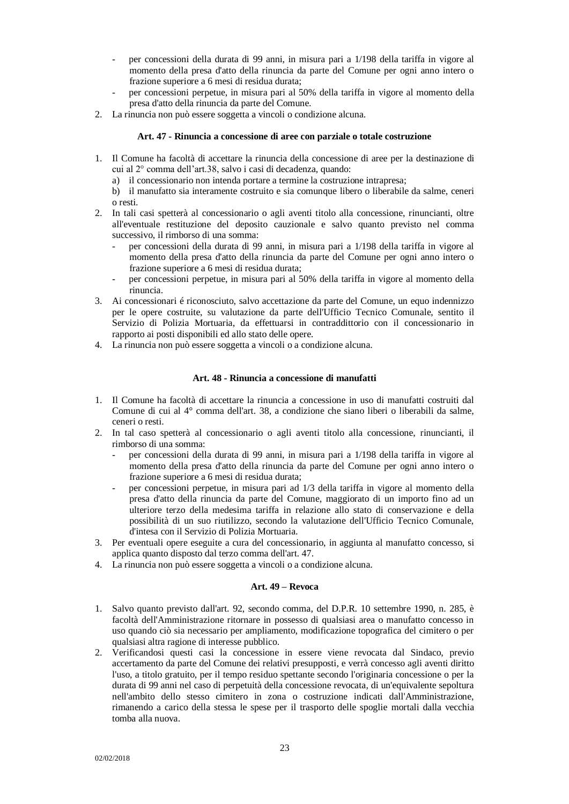- per concessioni della durata di 99 anni, in misura pari a 1/198 della tariffa in vigore al momento della presa d'atto della rinuncia da parte del Comune per ogni anno intero o frazione superiore a 6 mesi di residua durata;
- per concessioni perpetue, in misura pari al 50% della tariffa in vigore al momento della presa d'atto della rinuncia da parte del Comune.
- 2. La rinuncia non può essere soggetta a vincoli o condizione alcuna.

#### **Art. 47 - Rinuncia a concessione di aree con parziale o totale costruzione**

- <span id="page-22-0"></span>1. Il Comune ha facoltà di accettare la rinuncia della concessione di aree per la destinazione di cui al 2° comma dell'art.38, salvo i casi di decadenza, quando:
	- a) il concessionario non intenda portare a termine la costruzione intrapresa;

b) il manufatto sia interamente costruito e sia comunque libero o liberabile da salme, ceneri o resti.

- 2. In tali casi spetterà al concessionario o agli aventi titolo alla concessione, rinuncianti, oltre all'eventuale restituzione del deposito cauzionale e salvo quanto previsto nel comma successivo, il rimborso di una somma:
	- per concessioni della durata di 99 anni, in misura pari a 1/198 della tariffa in vigore al momento della presa d'atto della rinuncia da parte del Comune per ogni anno intero o frazione superiore a 6 mesi di residua durata;
	- per concessioni perpetue, in misura pari al 50% della tariffa in vigore al momento della rinuncia.
- 3. Ai concessionari é riconosciuto, salvo accettazione da parte del Comune, un equo indennizzo per le opere costruite, su valutazione da parte dell'Ufficio Tecnico Comunale, sentito il Servizio di Polizia Mortuaria, da effettuarsi in contraddittorio con il concessionario in rapporto ai posti disponibili ed allo stato delle opere.
- 4. La rinuncia non può essere soggetta a vincoli o a condizione alcuna.

# **Art. 48 - Rinuncia a concessione di manufatti**

- <span id="page-22-1"></span>1. Il Comune ha facoltà di accettare la rinuncia a concessione in uso di manufatti costruiti dal Comune di cui al 4° comma dell'art. 38, a condizione che siano liberi o liberabili da salme, ceneri o resti.
- 2. In tal caso spetterà al concessionario o agli aventi titolo alla concessione, rinuncianti, il rimborso di una somma:
	- per concessioni della durata di 99 anni, in misura pari a 1/198 della tariffa in vigore al momento della presa d'atto della rinuncia da parte del Comune per ogni anno intero o frazione superiore a 6 mesi di residua durata;
	- per concessioni perpetue, in misura pari ad 1/3 della tariffa in vigore al momento della presa d'atto della rinuncia da parte del Comune, maggiorato di un importo fino ad un ulteriore terzo della medesima tariffa in relazione allo stato di conservazione e della possibilità di un suo riutilizzo, secondo la valutazione dell'Ufficio Tecnico Comunale, d'intesa con il Servizio di Polizia Mortuaria.
- 3. Per eventuali opere eseguite a cura del concessionario, in aggiunta al manufatto concesso, si applica quanto disposto dal terzo comma dell'art. 47.
- <span id="page-22-2"></span>4. La rinuncia non può essere soggetta a vincoli o a condizione alcuna.

#### **Art. 49 – Revoca**

- 1. Salvo quanto previsto dall'art. 92, secondo comma, del D.P.R. 10 settembre 1990, n. 285, è facoltà dell'Amministrazione ritornare in possesso di qualsiasi area o manufatto concesso in uso quando ciò sia necessario per ampliamento, modificazione topografica del cimitero o per qualsiasi altra ragione di interesse pubblico.
- 2. Verificandosi questi casi la concessione in essere viene revocata dal Sindaco, previo accertamento da parte del Comune dei relativi presupposti, e verrà concesso agli aventi diritto l'uso, a titolo gratuito, per il tempo residuo spettante secondo l'originaria concessione o per la durata di 99 anni nel caso di perpetuità della concessione revocata, di un'equivalente sepoltura nell'ambito dello stesso cimitero in zona o costruzione indicati dall'Amministrazione, rimanendo a carico della stessa le spese per il trasporto delle spoglie mortali dalla vecchia tomba alla nuova.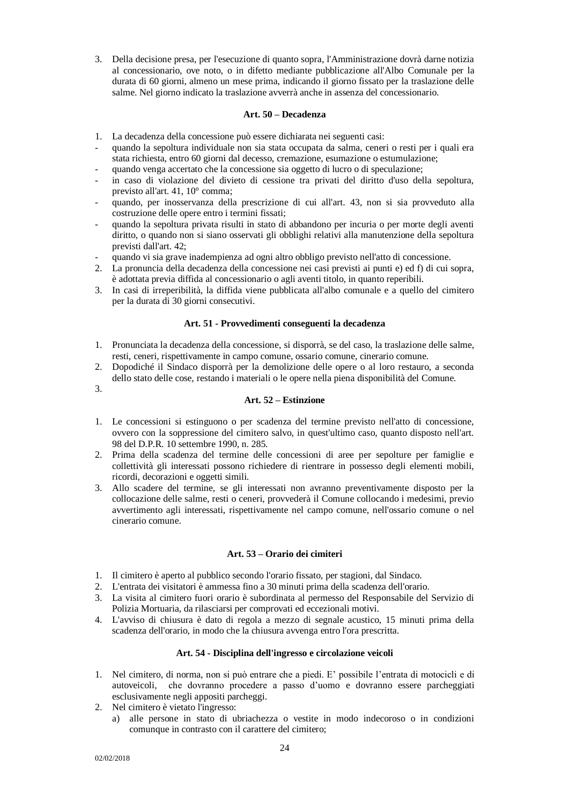3. Della decisione presa, per l'esecuzione di quanto sopra, l'Amministrazione dovrà darne notizia al concessionario, ove noto, o in difetto mediante pubblicazione all'Albo Comunale per la durata di 60 giorni, almeno un mese prima, indicando il giorno fissato per la traslazione delle salme. Nel giorno indicato la traslazione avverrà anche in assenza del concessionario.

# **Art. 50 – Decadenza**

- <span id="page-23-0"></span>1. La decadenza della concessione può essere dichiarata nei seguenti casi:
- quando la sepoltura individuale non sia stata occupata da salma, ceneri o resti per i quali era stata richiesta, entro 60 giorni dal decesso, cremazione, esumazione o estumulazione;
- quando venga accertato che la concessione sia oggetto di lucro o di speculazione;
- in caso di violazione del divieto di cessione tra privati del diritto d'uso della sepoltura, previsto all'art. 41, 10° comma;
- quando, per inosservanza della prescrizione di cui all'art. 43, non si sia provveduto alla costruzione delle opere entro i termini fissati;
- quando la sepoltura privata risulti in stato di abbandono per incuria o per morte degli aventi diritto, o quando non si siano osservati gli obblighi relativi alla manutenzione della sepoltura previsti dall'art. 42;
- quando vi sia grave inadempienza ad ogni altro obbligo previsto nell'atto di concessione.
- 2. La pronuncia della decadenza della concessione nei casi previsti ai punti e) ed f) di cui sopra, è adottata previa diffida al concessionario o agli aventi titolo, in quanto reperibili.
- 3. In casi di irreperibilità, la diffida viene pubblicata all'albo comunale e a quello del cimitero per la durata di 30 giorni consecutivi.

# **Art. 51 - Provvedimenti conseguenti la decadenza**

- <span id="page-23-1"></span>1. Pronunciata la decadenza della concessione, si disporrà, se del caso, la traslazione delle salme, resti, ceneri, rispettivamente in campo comune, ossario comune, cinerario comune.
- 2. Dopodiché il Sindaco disporrà per la demolizione delle opere o al loro restauro, a seconda dello stato delle cose, restando i materiali o le opere nella piena disponibilità del Comune.
- <span id="page-23-2"></span>3.

# **Art. 52 – Estinzione**

- 1. Le concessioni si estinguono o per scadenza del termine previsto nell'atto di concessione, ovvero con la soppressione del cimitero salvo, in quest'ultimo caso, quanto disposto nell'art. 98 del D.P.R. 10 settembre 1990, n. 285.
- 2. Prima della scadenza del termine delle concessioni di aree per sepolture per famiglie e collettività gli interessati possono richiedere di rientrare in possesso degli elementi mobili, ricordi, decorazioni e oggetti simili.
- 3. Allo scadere del termine, se gli interessati non avranno preventivamente disposto per la collocazione delle salme, resti o ceneri, provvederà il Comune collocando i medesimi, previo avvertimento agli interessati, rispettivamente nel campo comune, nell'ossario comune o nel cinerario comune.

# **Art. 53 – Orario dei cimiteri**

- <span id="page-23-3"></span>1. Il cimitero è aperto al pubblico secondo l'orario fissato, per stagioni, dal Sindaco.
- 2. L'entrata dei visitatori è ammessa fino a 30 minuti prima della scadenza dell'orario.
- 3. La visita al cimitero fuori orario è subordinata al permesso del Responsabile del Servizio di Polizia Mortuaria, da rilasciarsi per comprovati ed eccezionali motivi.
- 4. L'avviso di chiusura è dato di regola a mezzo di segnale acustico, 15 minuti prima della scadenza dell'orario, in modo che la chiusura avvenga entro l'ora prescritta.

# **Art. 54 - Disciplina dell'ingresso e circolazione veicoli**

- <span id="page-23-4"></span>1. Nel cimitero, di norma, non si può entrare che a piedi. E' possibile l'entrata di motocicli e di autoveicoli, che dovranno procedere a passo d'uomo e dovranno essere parcheggiati esclusivamente negli appositi parcheggi.
- 2. Nel cimitero è vietato l'ingresso:
	- a) alle persone in stato di ubriachezza o vestite in modo indecoroso o in condizioni comunque in contrasto con il carattere del cimitero;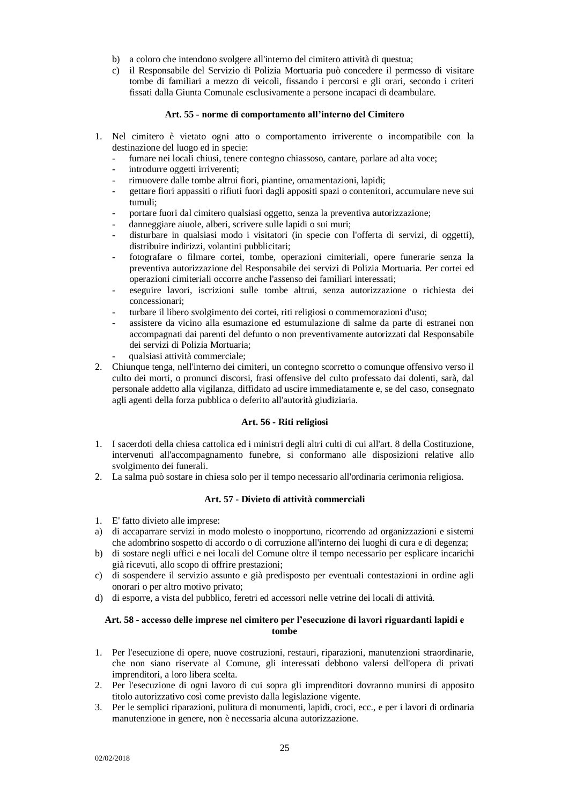- b) a coloro che intendono svolgere all'interno del cimitero attività di questua;
- c) il Responsabile del Servizio di Polizia Mortuaria può concedere il permesso di visitare tombe di familiari a mezzo di veicoli, fissando i percorsi e gli orari, secondo i criteri fissati dalla Giunta Comunale esclusivamente a persone incapaci di deambulare.

#### **Art. 55 - norme di comportamento all'interno del Cimitero**

- <span id="page-24-0"></span>1. Nel cimitero è vietato ogni atto o comportamento irriverente o incompatibile con la destinazione del luogo ed in specie:
	- fumare nei locali chiusi, tenere contegno chiassoso, cantare, parlare ad alta voce;
	- introdurre oggetti irriverenti;
	- rimuovere dalle tombe altrui fiori, piantine, ornamentazioni, lapidi;
	- gettare fiori appassiti o rifiuti fuori dagli appositi spazi o contenitori, accumulare neve sui tumuli;
	- portare fuori dal cimitero qualsiasi oggetto, senza la preventiva autorizzazione;
	- danneggiare aiuole, alberi, scrivere sulle lapidi o sui muri;
	- disturbare in qualsiasi modo i visitatori (in specie con l'offerta di servizi, di oggetti), distribuire indirizzi, volantini pubblicitari;
	- fotografare o filmare cortei, tombe, operazioni cimiteriali, opere funerarie senza la preventiva autorizzazione del Responsabile dei servizi di Polizia Mortuaria. Per cortei ed operazioni cimiteriali occorre anche l'assenso dei familiari interessati;
	- eseguire lavori, iscrizioni sulle tombe altrui, senza autorizzazione o richiesta dei concessionari;
	- turbare il libero svolgimento dei cortei, riti religiosi o commemorazioni d'uso;
	- assistere da vicino alla esumazione ed estumulazione di salme da parte di estranei non accompagnati dai parenti del defunto o non preventivamente autorizzati dal Responsabile dei servizi di Polizia Mortuaria;
	- qualsiasi attività commerciale;
- 2. Chiunque tenga, nell'interno dei cimiteri, un contegno scorretto o comunque offensivo verso il culto dei morti, o pronunci discorsi, frasi offensive del culto professato dai dolenti, sarà, dal personale addetto alla vigilanza, diffidato ad uscire immediatamente e, se del caso, consegnato agli agenti della forza pubblica o deferito all'autorità giudiziaria.

#### **Art. 56 - Riti religiosi**

- <span id="page-24-1"></span>1. I sacerdoti della chiesa cattolica ed i ministri degli altri culti di cui all'art. 8 della Costituzione, intervenuti all'accompagnamento funebre, si conformano alle disposizioni relative allo svolgimento dei funerali.
- <span id="page-24-2"></span>2. La salma può sostare in chiesa solo per il tempo necessario all'ordinaria cerimonia religiosa.

# **Art. 57 - Divieto di attività commerciali**

- 1. E' fatto divieto alle imprese:
- a) di accaparrare servizi in modo molesto o inopportuno, ricorrendo ad organizzazioni e sistemi che adombrino sospetto di accordo o di corruzione all'interno dei luoghi di cura e di degenza;
- b) di sostare negli uffici e nei locali del Comune oltre il tempo necessario per esplicare incarichi già ricevuti, allo scopo di offrire prestazioni;
- c) di sospendere il servizio assunto e già predisposto per eventuali contestazioni in ordine agli onorari o per altro motivo privato;
- d) di esporre, a vista del pubblico, feretri ed accessori nelle vetrine dei locali di attività.

# <span id="page-24-3"></span>**Art. 58 - accesso delle imprese nel cimitero per l'esecuzione di lavori riguardanti lapidi e tombe**

- 1. Per l'esecuzione di opere, nuove costruzioni, restauri, riparazioni, manutenzioni straordinarie, che non siano riservate al Comune, gli interessati debbono valersi dell'opera di privati imprenditori, a loro libera scelta.
- 2. Per l'esecuzione di ogni lavoro di cui sopra gli imprenditori dovranno munirsi di apposito titolo autorizzativo così come previsto dalla legislazione vigente.
- 3. Per le semplici riparazioni, pulitura di monumenti, lapidi, croci, ecc., e per i lavori di ordinaria manutenzione in genere, non è necessaria alcuna autorizzazione.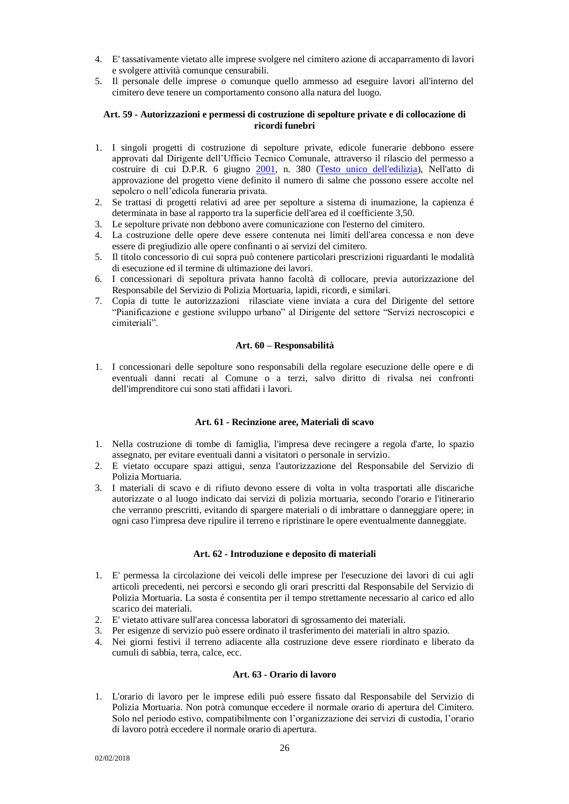- 4. E' tassativamente vietato alle imprese svolgere nel cimitero azione di accaparramento di lavori e svolgere attività comunque censurabili.
- 5. Il personale delle imprese o comunque quello ammesso ad eseguire lavori all'interno del cimitero deve tenere un comportamento consono alla natura del luogo.

#### <span id="page-25-0"></span>**Art. 59 - Autorizzazioni e permessi di costruzione di sepolture private e di collocazione di ricordi funebri**

- 1. I singoli progetti di costruzione di sepolture private, edicole funerarie debbono essere approvati dal Dirigente dell'Ufficio Tecnico Comunale, attraverso il rilascio del permesso a costruire di cui D.P.R. 6 giugno [2001,](https://it.wikipedia.org/wiki/2001) n. 380 [\(Testo unico dell'edilizia\)](https://it.wikipedia.org/wiki/Testo_unico_dell%27edilizia), Nell'atto di approvazione del progetto viene definito il numero di salme che possono essere accolte nel sepolcro o nell'edicola funeraria privata.
- 2. Se trattasi di progetti relativi ad aree per sepolture a sistema di inumazione, la capienza é determinata in base al rapporto tra la superficie dell'area ed il coefficiente 3,50.
- 3. Le sepolture private non debbono avere comunicazione con l'esterno del cimitero.
- 4. La costruzione delle opere deve essere contenuta nei limiti dell'area concessa e non deve essere di pregiudizio alle opere confinanti o ai servizi del cimitero.
- 5. Il titolo concessorio di cui sopra può contenere particolari prescrizioni riguardanti le modalità di esecuzione ed il termine di ultimazione dei lavori.
- 6. I concessionari di sepoltura privata hanno facoltà di collocare, previa autorizzazione del Responsabile del Servizio di Polizia Mortuaria, lapidi, ricordi, e similari.
- 7. Copia di tutte le autorizzazioni rilasciate viene inviata a cura del Dirigente del settore "Pianificazione e gestione sviluppo urbano" al Dirigente del settore "Servizi necroscopici e cimiteriali".

#### **Art. 60 – Responsabilità**

<span id="page-25-1"></span>1. I concessionari delle sepolture sono responsabili della regolare esecuzione delle opere e di eventuali danni recati al Comune o a terzi, salvo diritto di rivalsa nei confronti dell'imprenditore cui sono stati affidati i lavori.

#### **Art. 61 - Recinzione aree, Materiali di scavo**

- <span id="page-25-2"></span>1. Nella costruzione di tombe di famiglia, l'impresa deve recingere a regola d'arte, lo spazio assegnato, per evitare eventuali danni a visitatori o personale in servizio.
- 2. E vietato occupare spazi attigui, senza l'autorizzazione del Responsabile del Servizio di Polizia Mortuaria.
- 3. I materiali di scavo e di rifiuto devono essere di volta in volta trasportati alle discariche autorizzate o al luogo indicato dai servizi di polizia mortuaria, secondo l'orario e l'itinerario che verranno prescritti, evitando di spargere materiali o di imbrattare o danneggiare opere; in ogni caso l'impresa deve ripulire il terreno e ripristinare le opere eventualmente danneggiate.

#### **Art. 62 - Introduzione e deposito di materiali**

- <span id="page-25-3"></span>1. E' permessa la circolazione dei veicoli delle imprese per l'esecuzione dei lavori di cui agli articoli precedenti, nei percorsi e secondo gli orari prescritti dal Responsabile del Servizio di Polizia Mortuaria. La sosta é consentita per il tempo strettamente necessario al carico ed allo scarico dei materiali.
- 2. E' vietato attivare sull'area concessa laboratori di sgrossamento dei materiali.
- 3. Per esigenze di servizio può essere ordinato il trasferimento dei materiali in altro spazio.
- 4. Nei giorni festivi il terreno adiacente alla costruzione deve essere riordinato e liberato da cumuli di sabbia, terra, calce, ecc.

#### **Art. 63 - Orario di lavoro**

<span id="page-25-4"></span>1. L'orario di lavoro per le imprese edili può essere fissato dal Responsabile del Servizio di Polizia Mortuaria. Non potrà comunque eccedere il normale orario di apertura del Cimitero. Solo nel periodo estivo, compatibilmente con l'organizzazione dei servizi di custodia, l'orario di lavoro potrà eccedere il normale orario di apertura.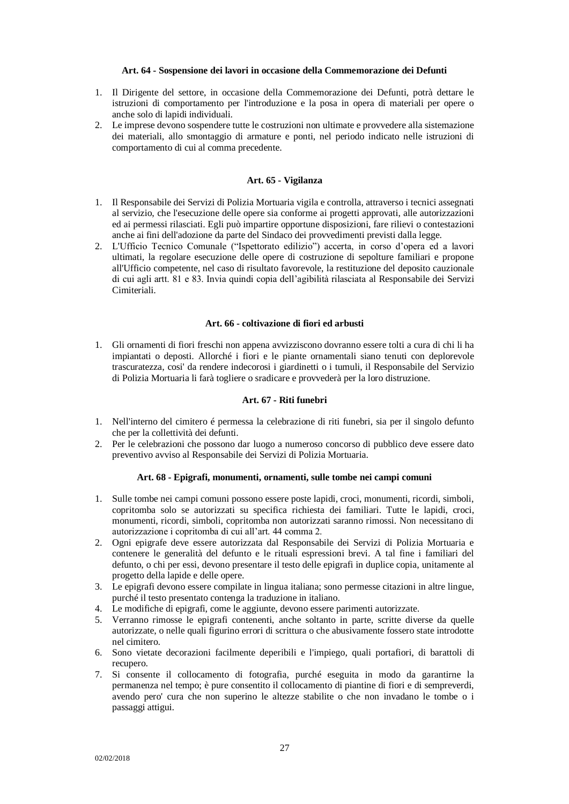#### **Art. 64 - Sospensione dei lavori in occasione della Commemorazione dei Defunti**

- <span id="page-26-0"></span>1. Il Dirigente del settore, in occasione della Commemorazione dei Defunti, potrà dettare le istruzioni di comportamento per l'introduzione e la posa in opera di materiali per opere o anche solo di lapidi individuali.
- 2. Le imprese devono sospendere tutte le costruzioni non ultimate e provvedere alla sistemazione dei materiali, allo smontaggio di armature e ponti, nel periodo indicato nelle istruzioni di comportamento di cui al comma precedente.

#### **Art. 65 - Vigilanza**

- <span id="page-26-1"></span>1. Il Responsabile dei Servizi di Polizia Mortuaria vigila e controlla, attraverso i tecnici assegnati al servizio, che l'esecuzione delle opere sia conforme ai progetti approvati, alle autorizzazioni ed ai permessi rilasciati. Egli può impartire opportune disposizioni, fare rilievi o contestazioni anche ai fini dell'adozione da parte del Sindaco dei provvedimenti previsti dalla legge.
- 2. L'Ufficio Tecnico Comunale ("Ispettorato edilizio") accerta, in corso d'opera ed a lavori ultimati, la regolare esecuzione delle opere di costruzione di sepolture familiari e propone all'Ufficio competente, nel caso di risultato favorevole, la restituzione del deposito cauzionale di cui agli artt. 81 e 83. Invia quindi copia dell'agibilità rilasciata al Responsabile dei Servizi Cimiteriali.

#### **Art. 66 - coltivazione di fiori ed arbusti**

<span id="page-26-2"></span>1. Gli ornamenti di fiori freschi non appena avvizziscono dovranno essere tolti a cura di chi li ha impiantati o deposti. Allorché i fiori e le piante ornamentali siano tenuti con deplorevole trascuratezza, cosi' da rendere indecorosi i giardinetti o i tumuli, il Responsabile del Servizio di Polizia Mortuaria li farà togliere o sradicare e provvederà per la loro distruzione.

# **Art. 67 - Riti funebri**

- <span id="page-26-3"></span>1. Nell'interno del cimitero é permessa la celebrazione di riti funebri, sia per il singolo defunto che per la collettività dei defunti.
- 2. Per le celebrazioni che possono dar luogo a numeroso concorso di pubblico deve essere dato preventivo avviso al Responsabile dei Servizi di Polizia Mortuaria.

# **Art. 68 - Epigrafi, monumenti, ornamenti, sulle tombe nei campi comuni**

- <span id="page-26-4"></span>1. Sulle tombe nei campi comuni possono essere poste lapidi, croci, monumenti, ricordi, simboli, copritomba solo se autorizzati su specifica richiesta dei familiari. Tutte le lapidi, croci, monumenti, ricordi, simboli, copritomba non autorizzati saranno rimossi. Non necessitano di autorizzazione i copritomba di cui all'art. 44 comma 2.
- 2. Ogni epigrafe deve essere autorizzata dal Responsabile dei Servizi di Polizia Mortuaria e contenere le generalità del defunto e le rituali espressioni brevi. A tal fine i familiari del defunto, o chi per essi, devono presentare il testo delle epigrafi in duplice copia, unitamente al progetto della lapide e delle opere.
- 3. Le epigrafi devono essere compilate in lingua italiana; sono permesse citazioni in altre lingue, purché il testo presentato contenga la traduzione in italiano.
- 4. Le modifiche di epigrafi, come le aggiunte, devono essere parimenti autorizzate.
- 5. Verranno rimosse le epigrafi contenenti, anche soltanto in parte, scritte diverse da quelle autorizzate, o nelle quali figurino errori di scrittura o che abusivamente fossero state introdotte nel cimitero.
- 6. Sono vietate decorazioni facilmente deperibili e l'impiego, quali portafiori, di barattoli di recupero.
- 7. Si consente il collocamento di fotografia, purché eseguita in modo da garantirne la permanenza nel tempo; è pure consentito il collocamento di piantine di fiori e di sempreverdi, avendo pero' cura che non superino le altezze stabilite o che non invadano le tombe o i passaggi attigui.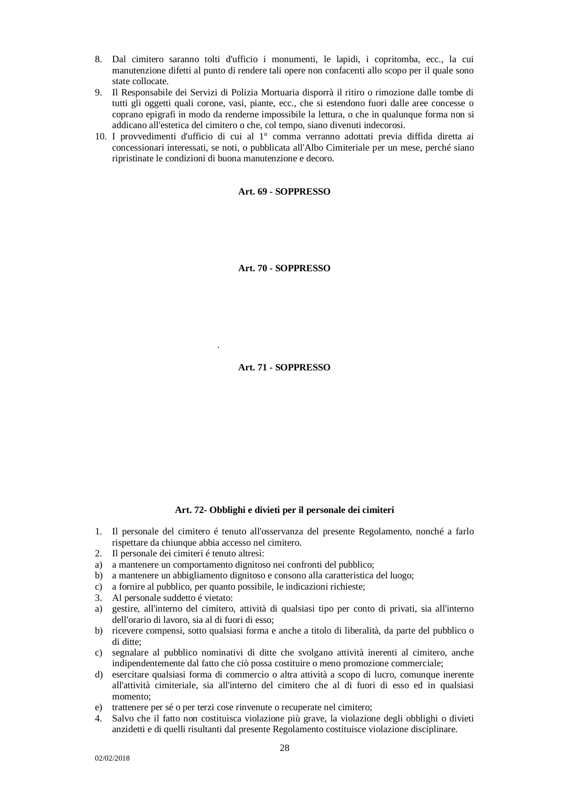- 8. Dal cimitero saranno tolti d'ufficio i monumenti, le lapidi, i copritomba, ecc., la cui manutenzione difetti al punto di rendere tali opere non confacenti allo scopo per il quale sono state collocate.
- 9. Il Responsabile dei Servizi di Polizia Mortuaria disporrà il ritiro o rimozione dalle tombe di tutti gli oggetti quali corone, vasi, piante, ecc., che si estendono fuori dalle aree concesse o coprano epigrafi in modo da renderne impossibile la lettura, o che in qualunque forma non si addicano all'estetica del cimitero o che, col tempo, siano divenuti indecorosi.
- <span id="page-27-0"></span>10. I provvedimenti d'ufficio di cui al 1° comma verranno adottati previa diffida diretta ai concessionari interessati, se noti, o pubblicata all'Albo Cimiteriale per un mese, perché siano ripristinate le condizioni di buona manutenzione e decoro.

#### **Art. 69 - SOPPRESSO**

**Art. 70 - SOPPRESSO**

**Art. 71 - SOPPRESSO**

# **Art. 72- Obblighi e divieti per il personale dei cimiteri**

- <span id="page-27-3"></span>1. Il personale del cimitero é tenuto all'osservanza del presente Regolamento, nonché a farlo rispettare da chiunque abbia accesso nel cimitero.
- 2. Il personale dei cimiteri é tenuto altresì:
- a) a mantenere un comportamento dignitoso nei confronti del pubblico;
- b) a mantenere un abbigliamento dignitoso e consono alla caratteristica del luogo;
- c) a fornire al pubblico, per quanto possibile, le indicazioni richieste;
- 3. Al personale suddetto é vietato:

<span id="page-27-2"></span><span id="page-27-1"></span>di cui al comma precedente.

- a) gestire, all'interno del cimitero, attività di qualsiasi tipo per conto di privati, sia all'interno dell'orario di lavoro, sia al di fuori di esso;
- b) ricevere compensi, sotto qualsiasi forma e anche a titolo di liberalità, da parte del pubblico o di ditte;
- c) segnalare al pubblico nominativi di ditte che svolgano attività inerenti al cimitero, anche indipendentemente dal fatto che ciò possa costituire o meno promozione commerciale;
- d) esercitare qualsiasi forma di commercio o altra attività a scopo di lucro, comunque inerente all'attività cimiteriale, sia all'interno del cimitero che al di fuori di esso ed in qualsiasi momento;
- e) trattenere per sé o per terzi cose rinvenute o recuperate nel cimitero;
- 4. Salvo che il fatto non costituisca violazione più grave, la violazione degli obblighi o divieti anzidetti e di quelli risultanti dal presente Regolamento costituisce violazione disciplinare.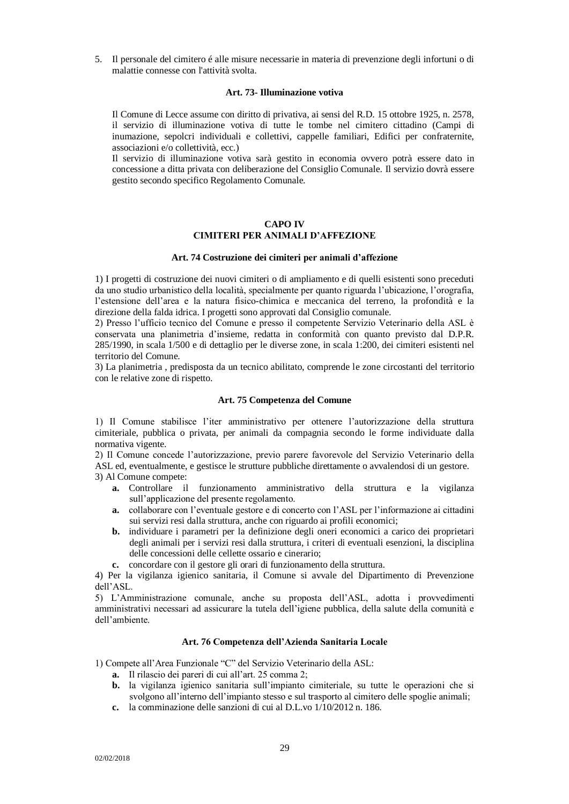5. Il personale del cimitero é alle misure necessarie in materia di prevenzione degli infortuni o di malattie connesse con l'attività svolta.

#### **Art. 73- Illuminazione votiva**

<span id="page-28-0"></span>Il Comune di Lecce assume con diritto di privativa, ai sensi del R.D. 15 ottobre 1925, n. 2578, il servizio di illuminazione votiva di tutte le tombe nel cimitero cittadino (Campi di inumazione, sepolcri individuali e collettivi, cappelle familiari, Edifici per confraternite, associazioni e/o collettività, ecc.)

Il servizio di illuminazione votiva sarà gestito in economia ovvero potrà essere dato in concessione a ditta privata con deliberazione del Consiglio Comunale. Il servizio dovrà essere gestito secondo specifico Regolamento Comunale.

#### **CAPO IV**

# **CIMITERI PER ANIMALI D'AFFEZIONE**

## **Art. 74 Costruzione dei cimiteri per animali d'affezione**

<span id="page-28-3"></span><span id="page-28-2"></span><span id="page-28-1"></span>1) I progetti di costruzione dei nuovi cimiteri o di ampliamento e di quelli esistenti sono preceduti da uno studio urbanistico della località, specialmente per quanto riguarda l'ubicazione, l'orografia, l'estensione dell'area e la natura fisico-chimica e meccanica del terreno, la profondità e la direzione della falda idrica. I progetti sono approvati dal Consiglio comunale.

2) Presso l'ufficio tecnico del Comune e presso il competente Servizio Veterinario della ASL è conservata una planimetria d'insieme, redatta in conformità con quanto previsto dal D.P.R. 285/1990, in scala 1/500 e di dettaglio per le diverse zone, in scala 1:200, dei cimiteri esistenti nel territorio del Comune.

3) La planimetria , predisposta da un tecnico abilitato, comprende le zone circostanti del territorio con le relative zone di rispetto.

#### **Art. 75 Competenza del Comune**

<span id="page-28-4"></span>1) Il Comune stabilisce l'iter amministrativo per ottenere l'autorizzazione della struttura cimiteriale, pubblica o privata, per animali da compagnia secondo le forme individuate dalla normativa vigente.

2) Il Comune concede l'autorizzazione, previo parere favorevole del Servizio Veterinario della ASL ed, eventualmente, e gestisce le strutture pubbliche direttamente o avvalendosi di un gestore.

3) Al Comune compete:

- **a.** Controllare il funzionamento amministrativo della struttura e la vigilanza sull'applicazione del presente regolamento.
- **a.** collaborare con l'eventuale gestore e di concerto con l'ASL per l'informazione ai cittadini sui servizi resi dalla struttura, anche con riguardo ai profili economici;
- **b.** individuare i parametri per la definizione degli oneri economici a carico dei proprietari degli animali per i servizi resi dalla struttura, i criteri di eventuali esenzioni, la disciplina delle concessioni delle cellette ossario e cinerario;
- **c.** concordare con il gestore gli orari di funzionamento della struttura.

4) Per la vigilanza igienico sanitaria, il Comune si avvale del Dipartimento di Prevenzione dell'ASL.

5) L'Amministrazione comunale, anche su proposta dell'ASL, adotta i provvedimenti amministrativi necessari ad assicurare la tutela dell'igiene pubblica, della salute della comunità e dell'ambiente.

#### **Art. 76 Competenza dell'Azienda Sanitaria Locale**

<span id="page-28-5"></span>1) Compete all'Area Funzionale "C" del Servizio Veterinario della ASL:

- **a.** Il rilascio dei pareri di cui all'art. 25 comma 2;
- **b.** la vigilanza igienico sanitaria sull'impianto cimiteriale, su tutte le operazioni che si svolgono all'interno dell'impianto stesso e sul trasporto al cimitero delle spoglie animali;
- **c.** la comminazione delle sanzioni di cui al D.L.vo 1/10/2012 n. 186.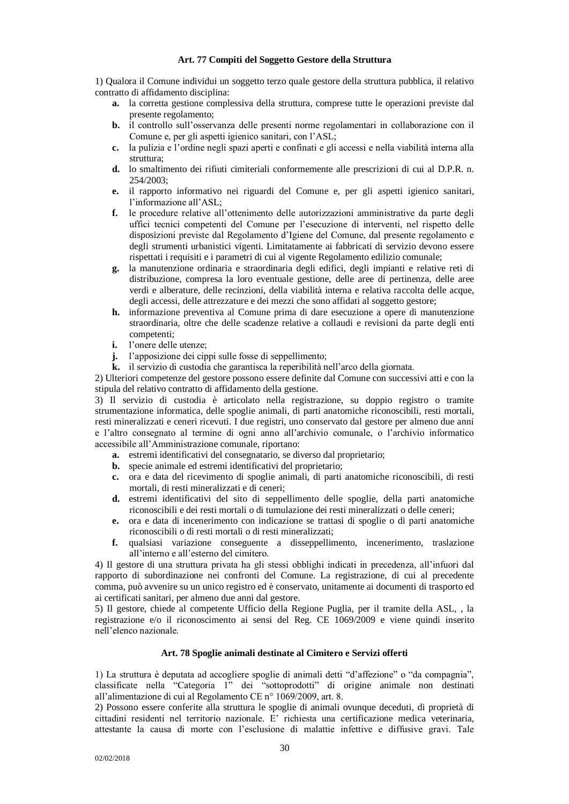#### **Art. 77 Compiti del Soggetto Gestore della Struttura**

<span id="page-29-0"></span>1) Qualora il Comune individui un soggetto terzo quale gestore della struttura pubblica, il relativo contratto di affidamento disciplina:

- **a.** la corretta gestione complessiva della struttura, comprese tutte le operazioni previste dal presente regolamento;
- **b.** il controllo sull'osservanza delle presenti norme regolamentari in collaborazione con il Comune e, per gli aspetti igienico sanitari, con l'ASL;
- **c.** la pulizia e l'ordine negli spazi aperti e confinati e gli accessi e nella viabilità interna alla struttura;
- **d.** lo smaltimento dei rifiuti cimiteriali conformemente alle prescrizioni di cui al D.P.R. n. 254/2003;
- **e.** il rapporto informativo nei riguardi del Comune e, per gli aspetti igienico sanitari, l'informazione all'ASL;
- **f.** le procedure relative all'ottenimento delle autorizzazioni amministrative da parte degli uffici tecnici competenti del Comune per l'esecuzione di interventi, nel rispetto delle disposizioni previste dal Regolamento d'Igiene del Comune, dal presente regolamento e degli strumenti urbanistici vigenti. Limitatamente ai fabbricati di servizio devono essere rispettati i requisiti e i parametri di cui al vigente Regolamento edilizio comunale;
- **g.** la manutenzione ordinaria e straordinaria degli edifici, degli impianti e relative reti di distribuzione, compresa la loro eventuale gestione, delle aree di pertinenza, delle aree verdi e alberature, delle recinzioni, della viabilità interna e relativa raccolta delle acque, degli accessi, delle attrezzature e dei mezzi che sono affidati al soggetto gestore;
- **h.** informazione preventiva al Comune prima di dare esecuzione a opere di manutenzione straordinaria, oltre che delle scadenze relative a collaudi e revisioni da parte degli enti competenti;
- **i.** l'onere delle utenze;
- **j.** l'apposizione dei cippi sulle fosse di seppellimento;
- **k.** il servizio di custodia che garantisca la reperibilità nell'arco della giornata.

2) Ulteriori competenze del gestore possono essere definite dal Comune con successivi atti e con la stipula del relativo contratto di affidamento della gestione.

3) Il servizio di custodia è articolato nella registrazione, su doppio registro o tramite strumentazione informatica, delle spoglie animali, di parti anatomiche riconoscibili, resti mortali, resti mineralizzati e ceneri ricevuti. I due registri, uno conservato dal gestore per almeno due anni e l'altro consegnato al termine di ogni anno all'archivio comunale, o l'archivio informatico accessibile all'Amministrazione comunale, riportano:

- **a.** estremi identificativi del consegnatario, se diverso dal proprietario;
- **b.** specie animale ed estremi identificativi del proprietario;
- **c.** ora e data del ricevimento di spoglie animali, di parti anatomiche riconoscibili, di resti mortali, di resti mineralizzati e di ceneri;
- **d.** estremi identificativi del sito di seppellimento delle spoglie, della parti anatomiche riconoscibili e dei resti mortali o di tumulazione dei resti mineralizzati o delle ceneri;
- **e.** ora e data di incenerimento con indicazione se trattasi di spoglie o di parti anatomiche riconoscibili o di resti mortali o di resti mineralizzati;
- **f.** qualsiasi variazione conseguente a disseppellimento, incenerimento, traslazione all'interno e all'esterno del cimitero.

4) Il gestore di una struttura privata ha gli stessi obblighi indicati in precedenza, all'infuori dal rapporto di subordinazione nei confronti del Comune. La registrazione, di cui al precedente comma, può avvenire su un unico registro ed è conservato, unitamente ai documenti di trasporto ed ai certificati sanitari, per almeno due anni dal gestore.

5) Il gestore, chiede al competente Ufficio della Regione Puglia, per il tramite della ASL, , la registrazione e/o il riconoscimento ai sensi del Reg. CE 1069/2009 e viene quindi inserito nell'elenco nazionale.

# **Art. 78 Spoglie animali destinate al Cimitero e Servizi offerti**

<span id="page-29-1"></span>1) La struttura è deputata ad accogliere spoglie di animali detti "d'affezione" o "da compagnia", classificate nella "Categoria 1" dei "sottoprodotti" di origine animale non destinati all'alimentazione di cui al Regolamento CE n° 1069/2009, art. 8.

2) Possono essere conferite alla struttura le spoglie di animali ovunque deceduti, di proprietà di cittadini residenti nel territorio nazionale. E' richiesta una certificazione medica veterinaria, attestante la causa di morte con l'esclusione di malattie infettive e diffusive gravi. Tale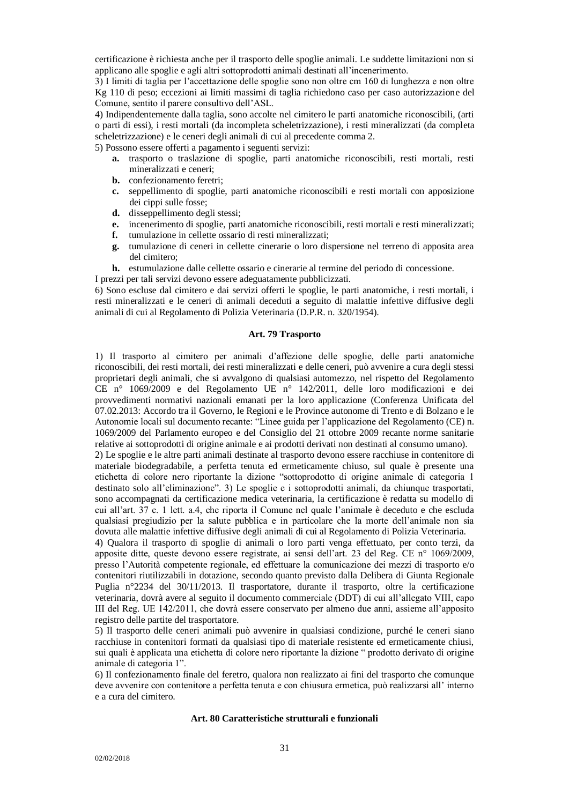certificazione è richiesta anche per il trasporto delle spoglie animali. Le suddette limitazioni non si applicano alle spoglie e agli altri sottoprodotti animali destinati all'incenerimento.

3) I limiti di taglia per l'accettazione delle spoglie sono non oltre cm 160 di lunghezza e non oltre Kg 110 di peso; eccezioni ai limiti massimi di taglia richiedono caso per caso autorizzazione del Comune, sentito il parere consultivo dell'ASL.

4) Indipendentemente dalla taglia, sono accolte nel cimitero le parti anatomiche riconoscibili, (arti o parti di essi), i resti mortali (da incompleta scheletrizzazione), i resti mineralizzati (da completa scheletrizzazione) e le ceneri degli animali di cui al precedente comma 2.

5) Possono essere offerti a pagamento i seguenti servizi:

- **a.** trasporto o traslazione di spoglie, parti anatomiche riconoscibili, resti mortali, resti mineralizzati e ceneri;
- **b.** confezionamento feretri;
- **c.** seppellimento di spoglie, parti anatomiche riconoscibili e resti mortali con apposizione dei cippi sulle fosse;
- **d.** disseppellimento degli stessi;
- **e.** incenerimento di spoglie, parti anatomiche riconoscibili, resti mortali e resti mineralizzati;
- **f.** tumulazione in cellette ossario di resti mineralizzati;
- **g.** tumulazione di ceneri in cellette cinerarie o loro dispersione nel terreno di apposita area del cimitero;
- **h.** estumulazione dalle cellette ossario e cinerarie al termine del periodo di concessione.
- I prezzi per tali servizi devono essere adeguatamente pubblicizzati.

6) Sono escluse dal cimitero e dai servizi offerti le spoglie, le parti anatomiche, i resti mortali, i resti mineralizzati e le ceneri di animali deceduti a seguito di malattie infettive diffusive degli animali di cui al Regolamento di Polizia Veterinaria (D.P.R. n. 320/1954).

# **Art. 79 Trasporto**

<span id="page-30-0"></span>1) Il trasporto al cimitero per animali d'affezione delle spoglie, delle parti anatomiche riconoscibili, dei resti mortali, dei resti mineralizzati e delle ceneri, può avvenire a cura degli stessi proprietari degli animali, che si avvalgono di qualsiasi automezzo, nel rispetto del Regolamento CE n° 1069/2009 e del Regolamento UE n° 142/2011, delle loro modificazioni e dei provvedimenti normativi nazionali emanati per la loro applicazione (Conferenza Unificata del 07.02.2013: Accordo tra il Governo, le Regioni e le Province autonome di Trento e di Bolzano e le Autonomie locali sul documento recante: "Linee guida per l'applicazione del Regolamento (CE) n. 1069/2009 del Parlamento europeo e del Consiglio del 21 ottobre 2009 recante norme sanitarie relative ai sottoprodotti di origine animale e ai prodotti derivati non destinati al consumo umano).

2) Le spoglie e le altre parti animali destinate al trasporto devono essere racchiuse in contenitore di materiale biodegradabile, a perfetta tenuta ed ermeticamente chiuso, sul quale è presente una etichetta di colore nero riportante la dizione "sottoprodotto di origine animale di categoria 1 destinato solo all'eliminazione". 3) Le spoglie e i sottoprodotti animali, da chiunque trasportati, sono accompagnati da certificazione medica veterinaria, la certificazione è redatta su modello di cui all'art. 37 c. 1 lett. a.4, che riporta il Comune nel quale l'animale è deceduto e che escluda qualsiasi pregiudizio per la salute pubblica e in particolare che la morte dell'animale non sia dovuta alle malattie infettive diffusive degli animali di cui al Regolamento di Polizia Veterinaria.

4) Qualora il trasporto di spoglie di animali o loro parti venga effettuato, per conto terzi, da apposite ditte, queste devono essere registrate, ai sensi dell'art. 23 del Reg. CE n° 1069/2009, presso l'Autorità competente regionale, ed effettuare la comunicazione dei mezzi di trasporto e/o contenitori riutilizzabili in dotazione, secondo quanto previsto dalla Delibera di Giunta Regionale Puglia n°2234 del 30/11/2013. Il trasportatore, durante il trasporto, oltre la certificazione veterinaria, dovrà avere al seguito il documento commerciale (DDT) di cui all'allegato VIII, capo III del Reg. UE 142/2011, che dovrà essere conservato per almeno due anni, assieme all'apposito registro delle partite del trasportatore.

5) Il trasporto delle ceneri animali può avvenire in qualsiasi condizione, purché le ceneri siano racchiuse in contenitori formati da qualsiasi tipo di materiale resistente ed ermeticamente chiusi, sui quali è applicata una etichetta di colore nero riportante la dizione " prodotto derivato di origine animale di categoria 1".

<span id="page-30-1"></span>6) Il confezionamento finale del feretro, qualora non realizzato ai fini del trasporto che comunque deve avvenire con contenitore a perfetta tenuta e con chiusura ermetica, può realizzarsi all' interno e a cura del cimitero.

#### **Art. 80 Caratteristiche strutturali e funzionali**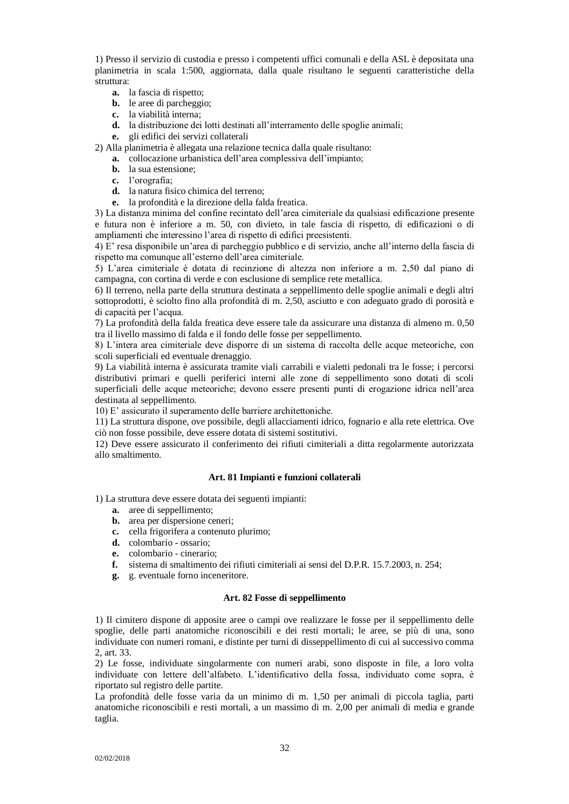1) Presso il servizio di custodia e presso i competenti uffici comunali e della ASL è depositata una planimetria in scala 1:500, aggiornata, dalla quale risultano le seguenti caratteristiche della struttura:

- **a.** la fascia di rispetto;
- **b.** le aree di parcheggio;
- **c.** la viabilità interna;
- **d.** la distribuzione dei lotti destinati all'interramento delle spoglie animali;
- **e.** gli edifici dei servizi collaterali
- 2) Alla planimetria è allegata una relazione tecnica dalla quale risultano:
	- **a.** collocazione urbanistica dell'area complessiva dell'impianto;
		- **b.** la sua estensione;
		- **c.** l'orografia;
		- **d.** la natura fisico chimica del terreno;
	- **e.** la profondità e la direzione della falda freatica.

3) La distanza minima del confine recintato dell'area cimiteriale da qualsiasi edificazione presente e futura non è inferiore a m. 50, con divieto, in tale fascia di rispetto, di edificazioni o di ampliamenti che interessino l'area di rispetto di edifici preesistenti.

4) E' resa disponibile un'area di parcheggio pubblico e di servizio, anche all'interno della fascia di rispetto ma comunque all'esterno dell'area cimiteriale.

5) L'area cimiteriale è dotata di recinzione di altezza non inferiore a m. 2,50 dal piano di campagna, con cortina di verde e con esclusione di semplice rete metallica.

6) Il terreno, nella parte della struttura destinata a seppellimento delle spoglie animali e degli altri sottoprodotti, è sciolto fino alla profondità di m. 2,50, asciutto e con adeguato grado di porosità e di capacità per l'acqua.

7) La profondità della falda freatica deve essere tale da assicurare una distanza di almeno m. 0,50 tra il livello massimo di falda e il fondo delle fosse per seppellimento.

8) L'intera area cimiteriale deve disporre di un sistema di raccolta delle acque meteoriche, con scoli superficiali ed eventuale drenaggio.

9) La viabilità interna è assicurata tramite viali carrabili e vialetti pedonali tra le fosse; i percorsi distributivi primari e quelli periferici interni alle zone di seppellimento sono dotati di scoli superficiali delle acque meteoriche; devono essere presenti punti di erogazione idrica nell'area destinata al seppellimento.

10) E' assicurato il superamento delle barriere architettoniche.

11) La struttura dispone, ove possibile, degli allacciamenti idrico, fognario e alla rete elettrica. Ove ciò non fosse possibile, deve essere dotata di sistemi sostitutivi.

12) Deve essere assicurato il conferimento dei rifiuti cimiteriali a ditta regolarmente autorizzata allo smaltimento.

# **Art. 81 Impianti e funzioni collaterali**

1) La struttura deve essere dotata dei seguenti impianti:

- **a.** aree di seppellimento;
- **b.** area per dispersione ceneri;
- **c.** cella frigorifera a contenuto plurimo;
- **d.** colombario ossario;
- **e.** colombario cinerario;
- **f.** sistema di smaltimento dei rifiuti cimiteriali ai sensi del D.P.R. 15.7.2003, n. 254;
- **g.** g. eventuale forno inceneritore.

#### **Art. 82 Fosse di seppellimento**

<span id="page-31-0"></span>1) Il cimitero dispone di apposite aree o campi ove realizzare le fosse per il seppellimento delle spoglie, delle parti anatomiche riconoscibili e dei resti mortali; le aree, se più di una, sono individuate con numeri romani, e distinte per turni di disseppellimento di cui al successivo comma 2, art. 33.

2) Le fosse, individuate singolarmente con numeri arabi, sono disposte in file, a loro volta individuate con lettere dell'alfabeto. L'identificativo della fossa, individuato come sopra, è riportato sul registro delle partite.

La profondità delle fosse varia da un minimo di m. 1,50 per animali di piccola taglia, parti anatomiche riconoscibili e resti mortali, a un massimo di m. 2,00 per animali di media e grande taglia.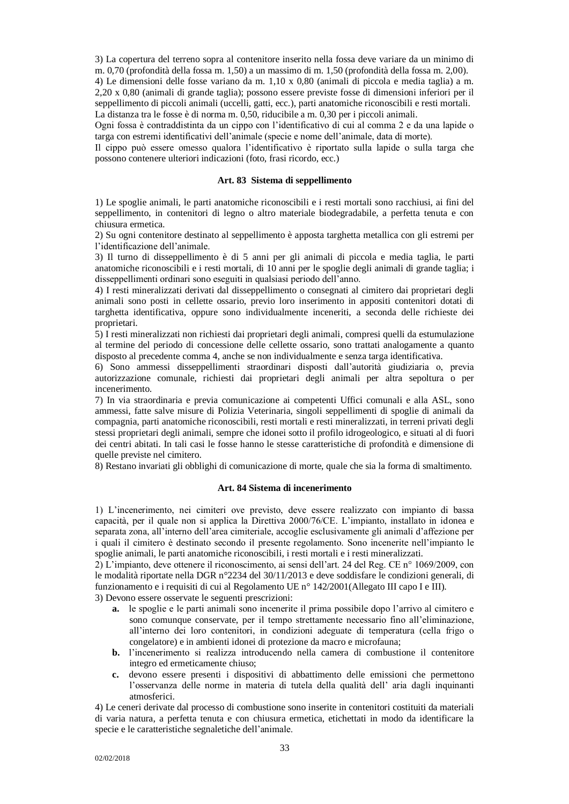3) La copertura del terreno sopra al contenitore inserito nella fossa deve variare da un minimo di m. 0,70 (profondità della fossa m. 1,50) a un massimo di m. 1,50 (profondità della fossa m. 2,00).

4) Le dimensioni delle fosse variano da m. 1,10 x 0,80 (animali di piccola e media taglia) a m. 2,20 x 0,80 (animali di grande taglia); possono essere previste fosse di dimensioni inferiori per il seppellimento di piccoli animali (uccelli, gatti, ecc.), parti anatomiche riconoscibili e resti mortali. La distanza tra le fosse è di norma m. 0,50, riducibile a m. 0,30 per i piccoli animali.

Ogni fossa è contraddistinta da un cippo con l'identificativo di cui al comma 2 e da una lapide o targa con estremi identificativi dell'animale (specie e nome dell'animale, data di morte).

Il cippo può essere omesso qualora l'identificativo è riportato sulla lapide o sulla targa che possono contenere ulteriori indicazioni (foto, frasi ricordo, ecc.)

# **Art. 83 Sistema di seppellimento**

<span id="page-32-0"></span>1) Le spoglie animali, le parti anatomiche riconoscibili e i resti mortali sono racchiusi, ai fini del seppellimento, in contenitori di legno o altro materiale biodegradabile, a perfetta tenuta e con chiusura ermetica.

2) Su ogni contenitore destinato al seppellimento è apposta targhetta metallica con gli estremi per l'identificazione dell'animale.

3) Il turno di disseppellimento è di 5 anni per gli animali di piccola e media taglia, le parti anatomiche riconoscibili e i resti mortali, di 10 anni per le spoglie degli animali di grande taglia; i disseppellimenti ordinari sono eseguiti in qualsiasi periodo dell'anno.

4) I resti mineralizzati derivati dal disseppellimento o consegnati al cimitero dai proprietari degli animali sono posti in cellette ossario, previo loro inserimento in appositi contenitori dotati di targhetta identificativa, oppure sono individualmente inceneriti, a seconda delle richieste dei proprietari.

5) I resti mineralizzati non richiesti dai proprietari degli animali, compresi quelli da estumulazione al termine del periodo di concessione delle cellette ossario, sono trattati analogamente a quanto disposto al precedente comma 4, anche se non individualmente e senza targa identificativa.

6) Sono ammessi disseppellimenti straordinari disposti dall'autorità giudiziaria o, previa autorizzazione comunale, richiesti dai proprietari degli animali per altra sepoltura o per incenerimento.

7) In via straordinaria e previa comunicazione ai competenti Uffici comunali e alla ASL, sono ammessi, fatte salve misure di Polizia Veterinaria, singoli seppellimenti di spoglie di animali da compagnia, parti anatomiche riconoscibili, resti mortali e resti mineralizzati, in terreni privati degli stessi proprietari degli animali, sempre che idonei sotto il profilo idrogeologico, e situati al di fuori dei centri abitati. In tali casi le fosse hanno le stesse caratteristiche di profondità e dimensione di quelle previste nel cimitero.

<span id="page-32-1"></span>8) Restano invariati gli obblighi di comunicazione di morte, quale che sia la forma di smaltimento.

#### **Art. 84 Sistema di incenerimento**

1) L'incenerimento, nei cimiteri ove previsto, deve essere realizzato con impianto di bassa capacità, per il quale non si applica la Direttiva 2000/76/CE. L'impianto, installato in idonea e separata zona, all'interno dell'area cimiteriale, accoglie esclusivamente gli animali d'affezione per i quali il cimitero è destinato secondo il presente regolamento. Sono incenerite nell'impianto le spoglie animali, le parti anatomiche riconoscibili, i resti mortali e i resti mineralizzati.

2) L'impianto, deve ottenere il riconoscimento, ai sensi dell'art. 24 del Reg. CE n° 1069/2009, con le modalità riportate nella DGR n°2234 del 30/11/2013 e deve soddisfare le condizioni generali, di funzionamento e i requisiti di cui al Regolamento UE n° 142/2001(Allegato III capo I e III).

3) Devono essere osservate le seguenti prescrizioni:

- **a.** le spoglie e le parti animali sono incenerite il prima possibile dopo l'arrivo al cimitero e sono comunque conservate, per il tempo strettamente necessario fino all'eliminazione, all'interno dei loro contenitori, in condizioni adeguate di temperatura (cella frigo o congelatore) e in ambienti idonei di protezione da macro e microfauna;
- **b.** l'incenerimento si realizza introducendo nella camera di combustione il contenitore integro ed ermeticamente chiuso;
- **c.** devono essere presenti i dispositivi di abbattimento delle emissioni che permettono l'osservanza delle norme in materia di tutela della qualità dell' aria dagli inquinanti atmosferici.

4) Le ceneri derivate dal processo di combustione sono inserite in contenitori costituiti da materiali di varia natura, a perfetta tenuta e con chiusura ermetica, etichettati in modo da identificare la specie e le caratteristiche segnaletiche dell'animale.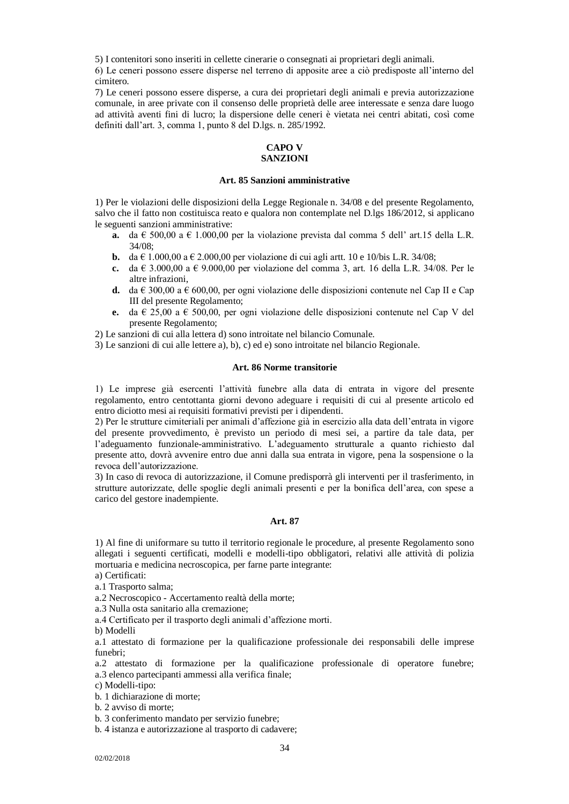5) I contenitori sono inseriti in cellette cinerarie o consegnati ai proprietari degli animali.

6) Le ceneri possono essere disperse nel terreno di apposite aree a ciò predisposte all'interno del cimitero.

<span id="page-33-0"></span>7) Le ceneri possono essere disperse, a cura dei proprietari degli animali e previa autorizzazione comunale, in aree private con il consenso delle proprietà delle aree interessate e senza dare luogo ad attività aventi fini di lucro; la dispersione delle ceneri è vietata nei centri abitati, così come definiti dall'art. 3, comma 1, punto 8 del D.lgs. n. 285/1992.

#### **CAPO V SANZIONI**

#### **Art. 85 Sanzioni amministrative**

<span id="page-33-2"></span><span id="page-33-1"></span>1) Per le violazioni delle disposizioni della Legge Regionale n. 34/08 e del presente Regolamento, salvo che il fatto non costituisca reato e qualora non contemplate nel D.lgs 186/2012, si applicano le seguenti sanzioni amministrative:

- **a.** da  $\epsilon$  500,00 a  $\epsilon$  1.000,00 per la violazione prevista dal comma 5 dell' art.15 della L.R. 34/08;
- **b.** da  $\in$  1.000,00 a  $\in$  2.000,00 per violazione di cui agli artt. 10 e 10/bis L.R. 34/08;
- **c.** da € 3.000,00 a € 9.000,00 per violazione del comma 3, art. 16 della L.R. 34/08. Per le altre infrazioni,
- **d.** da  $\in$  300,00 a  $\in$  600,00, per ogni violazione delle disposizioni contenute nel Cap II e Cap III del presente Regolamento;
- **e.** da € 25,00 a € 500,00, per ogni violazione delle disposizioni contenute nel Cap V del presente Regolamento;

2) Le sanzioni di cui alla lettera d) sono introitate nel bilancio Comunale.

<span id="page-33-3"></span>3) Le sanzioni di cui alle lettere a), b), c) ed e) sono introitate nel bilancio Regionale.

#### **Art. 86 Norme transitorie**

1) Le imprese già esercenti l'attività funebre alla data di entrata in vigore del presente regolamento, entro centottanta giorni devono adeguare i requisiti di cui al presente articolo ed entro diciotto mesi ai requisiti formativi previsti per i dipendenti.

2) Per le strutture cimiteriali per animali d'affezione già in esercizio alla data dell'entrata in vigore del presente provvedimento, è previsto un periodo di mesi sei, a partire da tale data, per l'adeguamento funzionale-amministrativo. L'adeguamento strutturale a quanto richiesto dal presente atto, dovrà avvenire entro due anni dalla sua entrata in vigore, pena la sospensione o la revoca dell'autorizzazione.

3) In caso di revoca di autorizzazione, il Comune predisporrà gli interventi per il trasferimento, in strutture autorizzate, delle spoglie degli animali presenti e per la bonifica dell'area, con spese a carico del gestore inadempiente.

# **Art. 87**

<span id="page-33-4"></span>1) Al fine di uniformare su tutto il territorio regionale le procedure, al presente Regolamento sono allegati i seguenti certificati, modelli e modelli-tipo obbligatori, relativi alle attività di polizia mortuaria e medicina necroscopica, per farne parte integrante:

- a) Certificati:
- a.1 Trasporto salma;

a.2 Necroscopico - Accertamento realtà della morte;

a.3 Nulla osta sanitario alla cremazione;

a.4 Certificato per il trasporto degli animali d'affezione morti.

b) Modelli

a.1 attestato di formazione per la qualificazione professionale dei responsabili delle imprese funebri;

a.2 attestato di formazione per la qualificazione professionale di operatore funebre; a.3 elenco partecipanti ammessi alla verifica finale;

c) Modelli-tipo:

b. 1 dichiarazione di morte;

b. 2 avviso di morte;

b. 3 conferimento mandato per servizio funebre;

b. 4 istanza e autorizzazione al trasporto di cadavere;